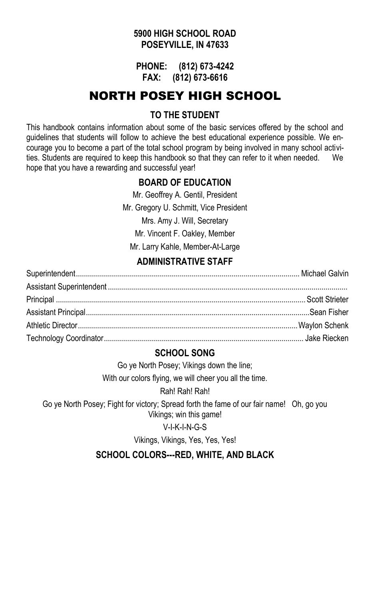#### **5900 HIGH SCHOOL ROAD POSEYVILLE, IN 47633**

**PHONE: (812) 673-4242 FAX: (812) 673-6616**

## NORTH POSEY HIGH SCHOOL

### **TO THE STUDENT**

This handbook contains information about some of the basic services offered by the school and guidelines that students will follow to achieve the best educational experience possible. We encourage you to become a part of the total school program by being involved in many school activities. Students are required to keep this handbook so that they can refer to it when needed. We hope that you have a rewarding and successful year!

#### **BOARD OF EDUCATION**

Mr. Geoffrey A. Gentil, President Mr. Gregory U. Schmitt, Vice President Mrs. Amy J. Will, Secretary Mr. Vincent F. Oakley, Member Mr. Larry Kahle, Member-At-Large

## **ADMINISTRATIVE STAFF**

#### **SCHOOL SONG**

Go ye North Posey; Vikings down the line;

With our colors flying, we will cheer you all the time.

Rah! Rah! Rah!

Go ye North Posey; Fight for victory; Spread forth the fame of our fair name! Oh, go you Vikings; win this game!

#### V-I-K-I-N-G-S

Vikings, Vikings, Yes, Yes, Yes!

**SCHOOL COLORS---RED, WHITE, AND BLACK**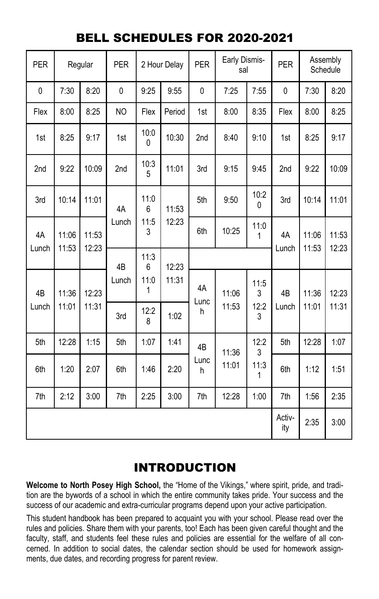## BELL SCHEDULES FOR 2020-2021

| <b>PER</b>      |                | Regular        | <b>PER</b>                             | 2 Hour Delay |           | <b>PER</b>      | Early Dismis-<br>sal |           | <b>PER</b>      | Assembly<br>Schedule |       |       |           |             |                |                |
|-----------------|----------------|----------------|----------------------------------------|--------------|-----------|-----------------|----------------------|-----------|-----------------|----------------------|-------|-------|-----------|-------------|----------------|----------------|
| 0               | 7:30           | 8:20           | $\pmb{0}$                              | 9:25         | 9:55      | $\mathbf 0$     | 7:25                 | 7:55      | 0               | 7:30                 | 8:20  |       |           |             |                |                |
| Flex            | 8:00           | 8:25           | <b>NO</b>                              | Flex         | Period    | 1st             | 8:00                 | 8:35      | Flex            | 8:00                 | 8:25  |       |           |             |                |                |
| 1st             | 8:25           | 9:17           | 1st                                    | 10:0<br>0    | 10:30     | 2nd             | 8:40                 | 9:10      | 1st             | 8:25                 | 9:17  |       |           |             |                |                |
| 2 <sub>nd</sub> | 9:22           | 10:09          | 2nd                                    | 10:3<br>5    | 11:01     | 3rd             | 9:15                 | 9:45      | 2 <sub>nd</sub> | 9:22                 | 10:09 |       |           |             |                |                |
| 3rd             | 10:14          | 11:01          | 4A<br>Lunch<br>4B                      | 11:0<br>6    | 11:53     | 5th             | 9:50                 | 10:2<br>0 | 3rd             | 10:14                | 11:01 |       |           |             |                |                |
| 4A<br>Lunch     | 11:06<br>11:53 | 11:53<br>12:23 |                                        |              | 11:5<br>3 |                 |                      |           |                 | 12:23                | 6th   | 10:25 | 11:0<br>1 | 4A<br>Lunch | 11:06<br>11:53 | 11:53<br>12:23 |
|                 |                |                |                                        | 11:3<br>6    | 12:23     |                 |                      |           |                 |                      |       |       |           |             |                |                |
| 4 <sub>B</sub>  | 11:36<br>12:23 |                | 11:0<br>Lunch<br>1<br>12:2<br>3rd<br>8 |              | 11:31     | 4A<br>Lunc      | 11:06                | 11:5<br>3 | 4 <sub>B</sub>  | 11:36                | 12:23 |       |           |             |                |                |
| Lunch           | 11:01          | 11:31          |                                        |              | 1:02      | h               | 11:53                | 12:2<br>3 | Lunch           | 11:01                | 11:31 |       |           |             |                |                |
| 5th             | 12:28          | 1:15           | 5th                                    | 1:07         | 1:41      | 4B<br>Lunc<br>h | 11:36                | 12:2<br>3 | 5th             | 12:28                | 1:07  |       |           |             |                |                |
| 6th             | 1:20           | 2:07           | 6th                                    | 1:46         | 2:20      |                 |                      | 11:01     | 11:3<br>1       | 6th                  | 1:12  | 1:51  |           |             |                |                |
| 7th             | 2:12           | 3:00           | 7th                                    | 2:25         | 3:00      | 7th             | 12:28                | 1:00      | 7th             | 1:56                 | 2:35  |       |           |             |                |                |
|                 |                |                |                                        |              |           |                 |                      |           | Activ-<br>ity   | 2:35                 | 3:00  |       |           |             |                |                |

## INTRODUCTION

**Welcome to North Posey High School,** the "Home of the Vikings," where spirit, pride, and tradition are the bywords of a school in which the entire community takes pride. Your success and the success of our academic and extra-curricular programs depend upon your active participation.

This student handbook has been prepared to acquaint you with your school. Please read over the rules and policies. Share them with your parents, too! Each has been given careful thought and the faculty, staff, and students feel these rules and policies are essential for the welfare of all concerned. In addition to social dates, the calendar section should be used for homework assignments, due dates, and recording progress for parent review.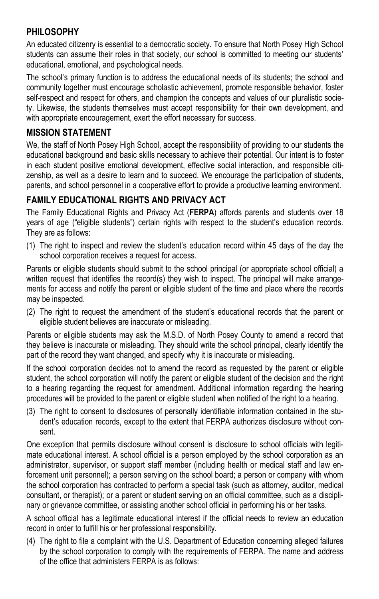## **PHILOSOPHY**

An educated citizenry is essential to a democratic society. To ensure that North Posey High School students can assume their roles in that society, our school is committed to meeting our students' educational, emotional, and psychological needs.

The school's primary function is to address the educational needs of its students; the school and community together must encourage scholastic achievement, promote responsible behavior, foster self-respect and respect for others, and champion the concepts and values of our pluralistic society. Likewise, the students themselves must accept responsibility for their own development, and with appropriate encouragement, exert the effort necessary for success.

#### **MISSION STATEMENT**

We, the staff of North Posey High School, accept the responsibility of providing to our students the educational background and basic skills necessary to achieve their potential. Our intent is to foster in each student positive emotional development, effective social interaction, and responsible citizenship, as well as a desire to learn and to succeed. We encourage the participation of students, parents, and school personnel in a cooperative effort to provide a productive learning environment.

## **FAMILY EDUCATIONAL RIGHTS AND PRIVACY ACT**

The Family Educational Rights and Privacy Act (**FERPA**) affords parents and students over 18 years of age ("eligible students") certain rights with respect to the student's education records. They are as follows:

(1) The right to inspect and review the student's education record within 45 days of the day the school corporation receives a request for access.

Parents or eligible students should submit to the school principal (or appropriate school official) a written request that identifies the record(s) they wish to inspect. The principal will make arrangements for access and notify the parent or eligible student of the time and place where the records may be inspected.

(2) The right to request the amendment of the student's educational records that the parent or eligible student believes are inaccurate or misleading.

Parents or eligible students may ask the M.S.D. of North Posey County to amend a record that they believe is inaccurate or misleading. They should write the school principal, clearly identify the part of the record they want changed, and specify why it is inaccurate or misleading.

If the school corporation decides not to amend the record as requested by the parent or eligible student, the school corporation will notify the parent or eligible student of the decision and the right to a hearing regarding the request for amendment. Additional information regarding the hearing procedures will be provided to the parent or eligible student when notified of the right to a hearing.

(3) The right to consent to disclosures of personally identifiable information contained in the student's education records, except to the extent that FERPA authorizes disclosure without consent.

One exception that permits disclosure without consent is disclosure to school officials with legitimate educational interest. A school official is a person employed by the school corporation as an administrator, supervisor, or support staff member (including health or medical staff and law enforcement unit personnel); a person serving on the school board; a person or company with whom the school corporation has contracted to perform a special task (such as attorney, auditor, medical consultant, or therapist); or a parent or student serving on an official committee, such as a disciplinary or grievance committee, or assisting another school official in performing his or her tasks.

A school official has a legitimate educational interest if the official needs to review an education record in order to fulfill his or her professional responsibility.

(4) The right to file a complaint with the U.S. Department of Education concerning alleged failures by the school corporation to comply with the requirements of FERPA. The name and address of the office that administers FERPA is as follows: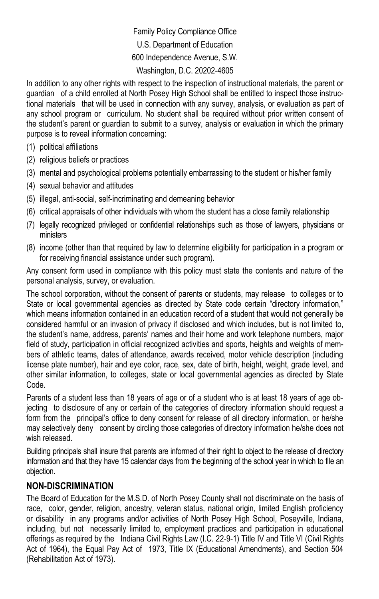Family Policy Compliance Office U.S. Department of Education 600 Independence Avenue, S.W. Washington, D.C. 20202-4605

In addition to any other rights with respect to the inspection of instructional materials, the parent or guardian of a child enrolled at North Posey High School shall be entitled to inspect those instructional materials that will be used in connection with any survey, analysis, or evaluation as part of any school program or curriculum. No student shall be required without prior written consent of the student's parent or guardian to submit to a survey, analysis or evaluation in which the primary purpose is to reveal information concerning:

- (1) political affiliations
- (2) religious beliefs or practices
- (3) mental and psychological problems potentially embarrassing to the student or his/her family
- (4) sexual behavior and attitudes
- (5) illegal, anti-social, self-incriminating and demeaning behavior
- (6) critical appraisals of other individuals with whom the student has a close family relationship
- (7) legally recognized privileged or confidential relationships such as those of lawyers, physicians or ministers
- (8) income (other than that required by law to determine eligibility for participation in a program or for receiving financial assistance under such program).

Any consent form used in compliance with this policy must state the contents and nature of the personal analysis, survey, or evaluation.

The school corporation, without the consent of parents or students, may release to colleges or to State or local governmental agencies as directed by State code certain "directory information," which means information contained in an education record of a student that would not generally be considered harmful or an invasion of privacy if disclosed and which includes, but is not limited to, the student's name, address, parents' names and their home and work telephone numbers, major field of study, participation in official recognized activities and sports, heights and weights of members of athletic teams, dates of attendance, awards received, motor vehicle description (including license plate number), hair and eye color, race, sex, date of birth, height, weight, grade level, and other similar information, to colleges, state or local governmental agencies as directed by State Code.

Parents of a student less than 18 years of age or of a student who is at least 18 years of age objecting to disclosure of any or certain of the categories of directory information should request a form from the principal's office to deny consent for release of all directory information, or he/she may selectively deny consent by circling those categories of directory information he/she does not wish released.

Building principals shall insure that parents are informed of their right to object to the release of directory information and that they have 15 calendar days from the beginning of the school year in which to file an objection.

#### **NON-DISCRIMINATION**

The Board of Education for the M.S.D. of North Posey County shall not discriminate on the basis of race, color, gender, religion, ancestry, veteran status, national origin, limited English proficiency or disability in any programs and/or activities of North Posey High School, Poseyville, Indiana, including, but not necessarily limited to, employment practices and participation in educational offerings as required by the Indiana Civil Rights Law (I.C. 22-9-1) Title IV and Title VI (Civil Rights Act of 1964), the Equal Pay Act of 1973, Title IX (Educational Amendments), and Section 504 (Rehabilitation Act of 1973).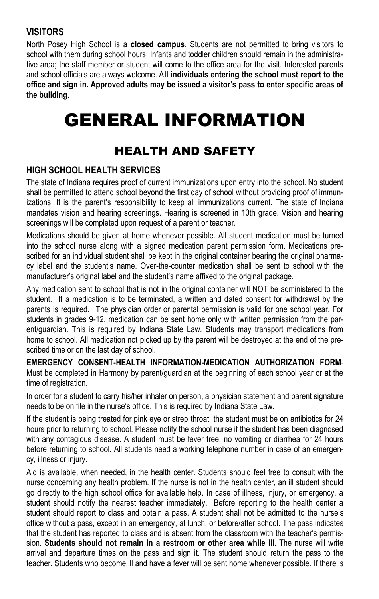### **VISITORS**

North Posey High School is a **closed campus**. Students are not permitted to bring visitors to school with them during school hours. Infants and toddler children should remain in the administrative area; the staff member or student will come to the office area for the visit. Interested parents and school officials are always welcome. A**ll individuals entering the school must report to the office and sign in. Approved adults may be issued a visitor's pass to enter specific areas of the building.** 

# GENERAL INFORMATION

## HEALTH AND SAFETY

#### **HIGH SCHOOL HEALTH SERVICES**

The state of Indiana requires proof of current immunizations upon entry into the school. No student shall be permitted to attend school beyond the first day of school without providing proof of immunizations. It is the parent's responsibility to keep all immunizations current. The state of Indiana mandates vision and hearing screenings. Hearing is screened in 10th grade. Vision and hearing screenings will be completed upon request of a parent or teacher.

Medications should be given at home whenever possible. All student medication must be turned into the school nurse along with a signed medication parent permission form. Medications prescribed for an individual student shall be kept in the original container bearing the original pharmacy label and the student's name. Over-the-counter medication shall be sent to school with the manufacturer's original label and the student's name affixed to the original package.

Any medication sent to school that is not in the original container will NOT be administered to the student. If a medication is to be terminated, a written and dated consent for withdrawal by the parents is required. The physician order or parental permission is valid for one school year. For students in grades 9-12, medication can be sent home only with written permission from the parent/guardian. This is required by Indiana State Law. Students may transport medications from home to school. All medication not picked up by the parent will be destroyed at the end of the prescribed time or on the last day of school.

**EMERGENCY CONSENT-HEALTH INFORMATION-MEDICATION AUTHORIZATION FORM**-Must be completed in Harmony by parent/guardian at the beginning of each school year or at the time of registration.

In order for a student to carry his/her inhaler on person, a physician statement and parent signature needs to be on file in the nurse's office. This is required by Indiana State Law.

If the student is being treated for pink eye or strep throat, the student must be on antibiotics for 24 hours prior to returning to school. Please notify the school nurse if the student has been diagnosed with any contagious disease. A student must be fever free, no vomiting or diarrhea for 24 hours before returning to school. All students need a working telephone number in case of an emergency, illness or injury.

Aid is available, when needed, in the health center. Students should feel free to consult with the nurse concerning any health problem. If the nurse is not in the health center, an ill student should go directly to the high school office for available help. In case of illness, injury, or emergency, a student should notify the nearest teacher immediately. Before reporting to the health center a student should report to class and obtain a pass. A student shall not be admitted to the nurse's office without a pass, except in an emergency, at lunch, or before/after school. The pass indicates that the student has reported to class and is absent from the classroom with the teacher's permission. **Students should not remain in a restroom or other area while ill.** The nurse will write arrival and departure times on the pass and sign it. The student should return the pass to the teacher. Students who become ill and have a fever will be sent home whenever possible. If there is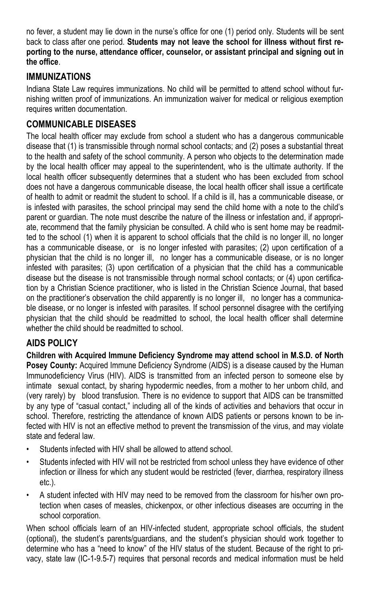no fever, a student may lie down in the nurse's office for one (1) period only. Students will be sent back to class after one period. **Students may not leave the school for illness without first reporting to the nurse, attendance officer, counselor, or assistant principal and signing out in the office**.

## **IMMUNIZATIONS**

Indiana State Law requires immunizations. No child will be permitted to attend school without furnishing written proof of immunizations. An immunization waiver for medical or religious exemption requires written documentation.

## **COMMUNICABLE DISEASES**

The local health officer may exclude from school a student who has a dangerous communicable disease that (1) is transmissible through normal school contacts; and (2) poses a substantial threat to the health and safety of the school community. A person who objects to the determination made by the local health officer may appeal to the superintendent, who is the ultimate authority. If the local health officer subsequently determines that a student who has been excluded from school does not have a dangerous communicable disease, the local health officer shall issue a certificate of health to admit or readmit the student to school. If a child is ill, has a communicable disease, or is infested with parasites, the school principal may send the child home with a note to the child's parent or guardian. The note must describe the nature of the illness or infestation and, if appropriate, recommend that the family physician be consulted. A child who is sent home may be readmitted to the school (1) when it is apparent to school officials that the child is no longer ill, no longer has a communicable disease, or is no longer infested with parasites; (2) upon certification of a physician that the child is no longer ill, no longer has a communicable disease, or is no longer infested with parasites; (3) upon certification of a physician that the child has a communicable disease but the disease is not transmissible through normal school contacts; or (4) upon certification by a Christian Science practitioner, who is listed in the Christian Science Journal, that based on the practitioner's observation the child apparently is no longer ill, no longer has a communicable disease, or no longer is infested with parasites. If school personnel disagree with the certifying physician that the child should be readmitted to school, the local health officer shall determine whether the child should be readmitted to school.

## **AIDS POLICY**

**Children with Acquired Immune Deficiency Syndrome may attend school in M.S.D. of North Posey County:** Acquired Immune Deficiency Syndrome (AIDS) is a disease caused by the Human Immunodeficiency Virus (HIV). AIDS is transmitted from an infected person to someone else by intimate sexual contact, by sharing hypodermic needles, from a mother to her unborn child, and (very rarely) by blood transfusion. There is no evidence to support that AIDS can be transmitted by any type of "casual contact," including all of the kinds of activities and behaviors that occur in school. Therefore, restricting the attendance of known AIDS patients or persons known to be infected with HIV is not an effective method to prevent the transmission of the virus, and may violate state and federal law.

- Students infected with HIV shall be allowed to attend school.
- Students infected with HIV will not be restricted from school unless they have evidence of other infection or illness for which any student would be restricted (fever, diarrhea, respiratory illness etc.).
- A student infected with HIV may need to be removed from the classroom for his/her own protection when cases of measles, chickenpox, or other infectious diseases are occurring in the school corporation.

When school officials learn of an HIV-infected student, appropriate school officials, the student (optional), the student's parents/guardians, and the student's physician should work together to determine who has a "need to know" of the HIV status of the student. Because of the right to privacy, state law (IC-1-9.5-7) requires that personal records and medical information must be held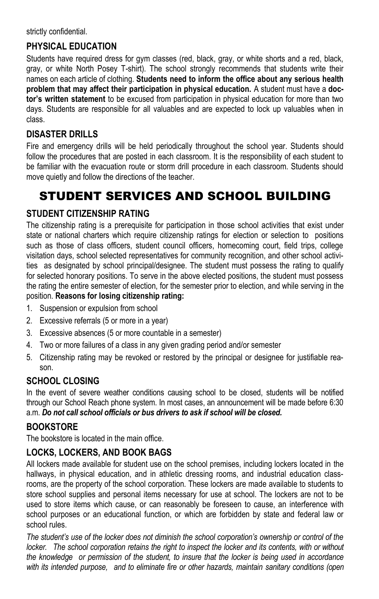strictly confidential.

## **PHYSICAL EDUCATION**

Students have required dress for gym classes (red, black, gray, or white shorts and a red, black, gray, or white North Posey T-shirt). The school strongly recommends that students write their names on each article of clothing. **Students need to inform the office about any serious health problem that may affect their participation in physical education.** A student must have a **doctor's written statement** to be excused from participation in physical education for more than two days. Students are responsible for all valuables and are expected to lock up valuables when in class.

## **DISASTER DRILLS**

Fire and emergency drills will be held periodically throughout the school year. Students should follow the procedures that are posted in each classroom. It is the responsibility of each student to be familiar with the evacuation route or storm drill procedure in each classroom. Students should move quietly and follow the directions of the teacher.

## STUDENT SERVICES AND SCHOOL BUILDING

#### **STUDENT CITIZENSHIP RATING**

The citizenship rating is a prerequisite for participation in those school activities that exist under state or national charters which require citizenship ratings for election or selection to positions such as those of class officers, student council officers, homecoming court, field trips, college visitation days, school selected representatives for community recognition, and other school activities as designated by school principal/designee. The student must possess the rating to qualify for selected honorary positions. To serve in the above elected positions, the student must possess the rating the entire semester of election, for the semester prior to election, and while serving in the position. **Reasons for losing citizenship rating:** 

- 1. Suspension or expulsion from school
- 2. Excessive referrals (5 or more in a year)
- 3. Excessive absences (5 or more countable in a semester)
- 4. Two or more failures of a class in any given grading period and/or semester
- 5. Citizenship rating may be revoked or restored by the principal or designee for justifiable reason.

## **SCHOOL CLOSING**

In the event of severe weather conditions causing school to be closed, students will be notified through our School Reach phone system. In most cases, an announcement will be made before 6:30 a.m. *Do not call school officials or bus drivers to ask if school will be closed.* 

#### **BOOKSTORE**

The bookstore is located in the main office.

## **LOCKS, LOCKERS, AND BOOK BAGS**

All lockers made available for student use on the school premises, including lockers located in the hallways, in physical education, and in athletic dressing rooms, and industrial education classrooms, are the property of the school corporation. These lockers are made available to students to store school supplies and personal items necessary for use at school. The lockers are not to be used to store items which cause, or can reasonably be foreseen to cause, an interference with school purposes or an educational function, or which are forbidden by state and federal law or school rules.

*The student's use of the locker does not diminish the school corporation's ownership or control of the locker.* The school corporation retains the right to inspect the locker and its contents, with or without *the knowledge or permission of the student, to insure that the locker is being used in accordance with its intended purpose, and to eliminate fire or other hazards, maintain sanitary conditions (open*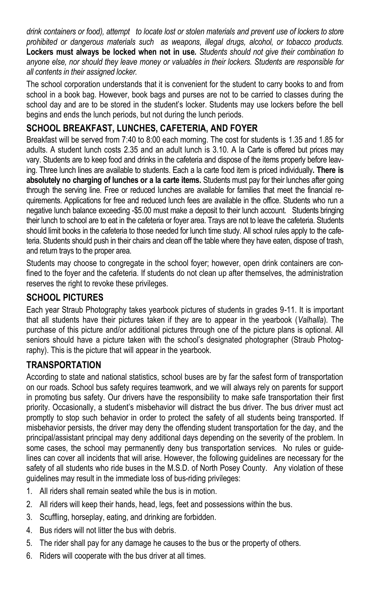*drink containers or food), attempt to locate lost or stolen materials and prevent use of lockers to store prohibited or dangerous materials such as weapons, illegal drugs, alcohol, or tobacco products.*  **Lockers must always be locked when not in use***. Students should not give their combination to anyone else, nor should they leave money or valuables in their lockers. Students are responsible for all contents in their assigned locker.* 

The school corporation understands that it is convenient for the student to carry books to and from school in a book bag. However, book bags and purses are not to be carried to classes during the school day and are to be stored in the student's locker. Students may use lockers before the bell begins and ends the lunch periods, but not during the lunch periods.

## **SCHOOL BREAKFAST, LUNCHES, CAFETERIA, AND FOYER**

Breakfast will be served from 7:40 to 8:00 each morning. The cost for students is 1.35 and 1.85 for adults. A student lunch costs 2.35 and an adult lunch is 3.10. A la Carte is offered but prices may vary. Students are to keep food and drinks in the cafeteria and dispose of the items properly before leaving. Three lunch lines are available to students. Each a la carte food item is priced individually**. There is absolutely no charging of lunches or a la carte items.** Students must pay for their lunches after going through the serving line. Free or reduced lunches are available for families that meet the financial requirements. Applications for free and reduced lunch fees are available in the office. Students who run a negative lunch balance exceeding -\$5.00 must make a deposit to their lunch account. Students bringing their lunch to school are to eat in the cafeteria or foyer area. Trays are not to leave the cafeteria. Students should limit books in the cafeteria to those needed for lunch time study. All school rules apply to the cafeteria. Students should push in their chairs and clean off the table where they have eaten, dispose of trash, and return trays to the proper area.

Students may choose to congregate in the school foyer; however, open drink containers are confined to the foyer and the cafeteria. If students do not clean up after themselves, the administration reserves the right to revoke these privileges.

## **SCHOOL PICTURES**

Each year Straub Photography takes yearbook pictures of students in grades 9-11. It is important that all students have their pictures taken if they are to appear in the yearbook (*Valhalla*). The purchase of this picture and/or additional pictures through one of the picture plans is optional. All seniors should have a picture taken with the school's designated photographer (Straub Photography). This is the picture that will appear in the yearbook.

## **TRANSPORTATION**

According to state and national statistics, school buses are by far the safest form of transportation on our roads. School bus safety requires teamwork, and we will always rely on parents for support in promoting bus safety. Our drivers have the responsibility to make safe transportation their first priority. Occasionally, a student's misbehavior will distract the bus driver. The bus driver must act promptly to stop such behavior in order to protect the safety of all students being transported. If misbehavior persists, the driver may deny the offending student transportation for the day, and the principal/assistant principal may deny additional days depending on the severity of the problem. In some cases, the school may permanently deny bus transportation services. No rules or guidelines can cover all incidents that will arise. However, the following guidelines are necessary for the safety of all students who ride buses in the M.S.D. of North Posey County. Any violation of these guidelines may result in the immediate loss of bus-riding privileges:

- 1. All riders shall remain seated while the bus is in motion.
- 2. All riders will keep their hands, head, legs, feet and possessions within the bus.
- 3. Scuffling, horseplay, eating, and drinking are forbidden.
- 4. Bus riders will not litter the bus with debris.
- 5. The rider shall pay for any damage he causes to the bus or the property of others.
- 6. Riders will cooperate with the bus driver at all times.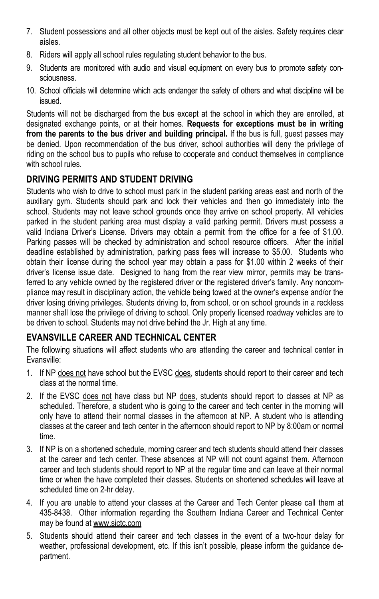- 7. Student possessions and all other objects must be kept out of the aisles. Safety requires clear aisles.
- 8. Riders will apply all school rules regulating student behavior to the bus.
- 9. Students are monitored with audio and visual equipment on every bus to promote safety consciousness.
- 10. School officials will determine which acts endanger the safety of others and what discipline will be issued.

Students will not be discharged from the bus except at the school in which they are enrolled, at designated exchange points, or at their homes. **Requests for exceptions must be in writing from the parents to the bus driver and building principal.** If the bus is full, guest passes may be denied. Upon recommendation of the bus driver, school authorities will deny the privilege of riding on the school bus to pupils who refuse to cooperate and conduct themselves in compliance with school rules.

## **DRIVING PERMITS AND STUDENT DRIVING**

Students who wish to drive to school must park in the student parking areas east and north of the auxiliary gym. Students should park and lock their vehicles and then go immediately into the school. Students may not leave school grounds once they arrive on school property. All vehicles parked in the student parking area must display a valid parking permit. Drivers must possess a valid Indiana Driver's License. Drivers may obtain a permit from the office for a fee of \$1.00. Parking passes will be checked by administration and school resource officers. After the initial deadline established by administration, parking pass fees will increase to \$5.00. Students who obtain their license during the school year may obtain a pass for \$1.00 within 2 weeks of their driver's license issue date. Designed to hang from the rear view mirror, permits may be transferred to any vehicle owned by the registered driver or the registered driver's family. Any noncompliance may result in disciplinary action, the vehicle being towed at the owner's expense and/or the driver losing driving privileges. Students driving to, from school, or on school grounds in a reckless manner shall lose the privilege of driving to school. Only properly licensed roadway vehicles are to be driven to school. Students may not drive behind the Jr. High at any time.

## **EVANSVILLE CAREER AND TECHNICAL CENTER**

The following situations will affect students who are attending the career and technical center in Evansville:

- 1. If NP does not have school but the EVSC does, students should report to their career and tech class at the normal time.
- 2. If the EVSC does not have class but NP does, students should report to classes at NP as scheduled. Therefore, a student who is going to the career and tech center in the morning will only have to attend their normal classes in the afternoon at NP. A student who is attending classes at the career and tech center in the afternoon should report to NP by 8:00am or normal time.
- 3. If NP is on a shortened schedule, morning career and tech students should attend their classes at the career and tech center. These absences at NP will not count against them. Afternoon career and tech students should report to NP at the regular time and can leave at their normal time or when the have completed their classes. Students on shortened schedules will leave at scheduled time on 2-hr delay.
- 4. If you are unable to attend your classes at the Career and Tech Center please call them at 435-8438. Other information regarding the Southern Indiana Career and Technical Center may be found at www.sictc.com
- 5. Students should attend their career and tech classes in the event of a two-hour delay for weather, professional development, etc. If this isn't possible, please inform the guidance department.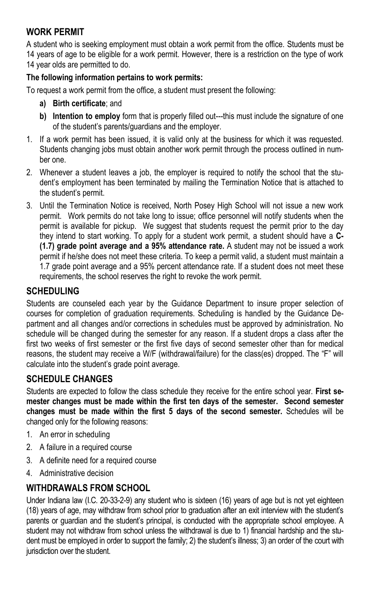## **WORK PERMIT**

A student who is seeking employment must obtain a work permit from the office. Students must be 14 years of age to be eligible for a work permit. However, there is a restriction on the type of work 14 year olds are permitted to do.

#### **The following information pertains to work permits:**

To request a work permit from the office, a student must present the following:

- **a) Birth certificate**; and
- **b) Intention to employ** form that is properly filled out---this must include the signature of one of the student's parents/guardians and the employer.
- 1. If a work permit has been issued, it is valid only at the business for which it was requested. Students changing jobs must obtain another work permit through the process outlined in number one.
- 2. Whenever a student leaves a job, the employer is required to notify the school that the student's employment has been terminated by mailing the Termination Notice that is attached to the student's permit.
- 3. Until the Termination Notice is received, North Posey High School will not issue a new work permit. Work permits do not take long to issue; office personnel will notify students when the permit is available for pickup. We suggest that students request the permit prior to the day they intend to start working. To apply for a student work permit, a student should have a **C- (1.7) grade point average and a 95% attendance rate.** A student may not be issued a work permit if he/she does not meet these criteria. To keep a permit valid, a student must maintain a 1.7 grade point average and a 95% percent attendance rate. If a student does not meet these requirements, the school reserves the right to revoke the work permit.

#### **SCHEDULING**

Students are counseled each year by the Guidance Department to insure proper selection of courses for completion of graduation requirements. Scheduling is handled by the Guidance Department and all changes and/or corrections in schedules must be approved by administration. No schedule will be changed during the semester for any reason. If a student drops a class after the first two weeks of first semester or the first five days of second semester other than for medical reasons, the student may receive a W/F (withdrawal/failure) for the class(es) dropped. The "F" will calculate into the student's grade point average.

## **SCHEDULE CHANGES**

Students are expected to follow the class schedule they receive for the entire school year. **First semester changes must be made within the first ten days of the semester. Second semester changes must be made within the first 5 days of the second semester.** Schedules will be changed only for the following reasons:

- 1. An error in scheduling
- 2. A failure in a required course
- 3. A definite need for a required course
- 4. Administrative decision

## **WITHDRAWALS FROM SCHOOL**

Under Indiana law (I.C. 20-33-2-9) any student who is sixteen (16) years of age but is not yet eighteen (18) years of age, may withdraw from school prior to graduation after an exit interview with the student's parents or guardian and the student's principal, is conducted with the appropriate school employee. A student may not withdraw from school unless the withdrawal is due to 1) financial hardship and the student must be employed in order to support the family; 2) the student's illness; 3) an order of the court with jurisdiction over the student.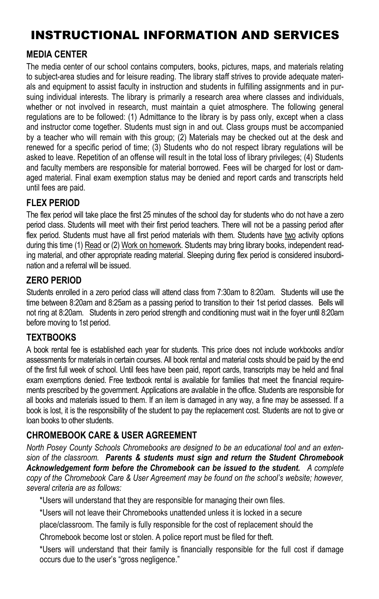## INSTRUCTIONAL INFORMATION AND SERVICES

## **MEDIA CENTER**

The media center of our school contains computers, books, pictures, maps, and materials relating to subject-area studies and for leisure reading. The library staff strives to provide adequate materials and equipment to assist faculty in instruction and students in fulfilling assignments and in pursuing individual interests. The library is primarily a research area where classes and individuals, whether or not involved in research, must maintain a quiet atmosphere. The following general regulations are to be followed: (1) Admittance to the library is by pass only, except when a class and instructor come together. Students must sign in and out. Class groups must be accompanied by a teacher who will remain with this group; (2) Materials may be checked out at the desk and renewed for a specific period of time; (3) Students who do not respect library regulations will be asked to leave. Repetition of an offense will result in the total loss of library privileges; (4) Students and faculty members are responsible for material borrowed. Fees will be charged for lost or damaged material. Final exam exemption status may be denied and report cards and transcripts held until fees are paid.

## **FLEX PERIOD**

The flex period will take place the first 25 minutes of the school day for students who do not have a zero period class. Students will meet with their first period teachers. There will not be a passing period after flex period. Students must have all first period materials with them. Students have two activity options during this time (1) Read or (2) Work on homework. Students may bring library books, independent reading material, and other appropriate reading material. Sleeping during flex period is considered insubordination and a referral will be issued.

## **ZERO PERIOD**

Students enrolled in a zero period class will attend class from 7:30am to 8:20am. Students will use the time between 8:20am and 8:25am as a passing period to transition to their 1st period classes. Bells will not ring at 8:20am. Students in zero period strength and conditioning must wait in the foyer until 8:20am before moving to 1st period.

## **TEXTBOOKS**

A book rental fee is established each year for students. This price does not include workbooks and/or assessments for materials in certain courses. All book rental and material costs should be paid by the end of the first full week of school. Until fees have been paid, report cards, transcripts may be held and final exam exemptions denied. Free textbook rental is available for families that meet the financial requirements prescribed by the government. Applications are available in the office. Students are responsible for all books and materials issued to them. If an item is damaged in any way, a fine may be assessed. If a book is lost, it is the responsibility of the student to pay the replacement cost. Students are not to give or loan books to other students.

## **CHROMEBOOK CARE & USER AGREEMENT**

*North Posey County Schools Chromebooks are designed to be an educational tool and an extension of the classroom. Parents & students must sign and return the Student Chromebook Acknowledgement form before the Chromebook can be issued to the student. A complete copy of the Chromebook Care & User Agreement may be found on the school's website; however, several criteria are as follows:*

\*Users will understand that they are responsible for managing their own files.

\*Users will not leave their Chromebooks unattended unless it is locked in a secure

place/classroom. The family is fully responsible for the cost of replacement should the

Chromebook become lost or stolen. A police report must be filed for theft.

\*Users will understand that their family is financially responsible for the full cost if damage occurs due to the user's "gross negligence."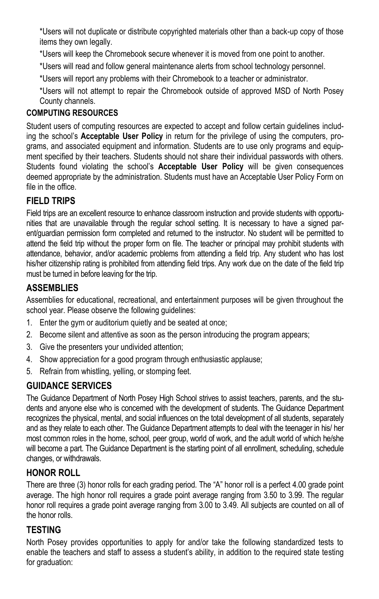\*Users will not duplicate or distribute copyrighted materials other than a back-up copy of those items they own legally.

\*Users will keep the Chromebook secure whenever it is moved from one point to another.

\*Users will read and follow general maintenance alerts from school technology personnel.

\*Users will report any problems with their Chromebook to a teacher or administrator.

\*Users will not attempt to repair the Chromebook outside of approved MSD of North Posey County channels.

## **COMPUTING RESOURCES**

Student users of computing resources are expected to accept and follow certain guidelines including the school's **Acceptable User Policy** in return for the privilege of using the computers, programs, and associated equipment and information. Students are to use only programs and equipment specified by their teachers. Students should not share their individual passwords with others. Students found violating the school's **Acceptable User Policy** will be given consequences deemed appropriate by the administration. Students must have an Acceptable User Policy Form on file in the office.

## **FIELD TRIPS**

Field trips are an excellent resource to enhance classroom instruction and provide students with opportunities that are unavailable through the regular school setting. It is necessary to have a signed parent/guardian permission form completed and returned to the instructor. No student will be permitted to attend the field trip without the proper form on file. The teacher or principal may prohibit students with attendance, behavior, and/or academic problems from attending a field trip. Any student who has lost his/her citizenship rating is prohibited from attending field trips. Any work due on the date of the field trip must be turned in before leaving for the trip.

## **ASSEMBLIES**

Assemblies for educational, recreational, and entertainment purposes will be given throughout the school year. Please observe the following guidelines:

- 1. Enter the gym or auditorium quietly and be seated at once;
- 2. Become silent and attentive as soon as the person introducing the program appears;
- 3. Give the presenters your undivided attention;
- 4. Show appreciation for a good program through enthusiastic applause;
- 5. Refrain from whistling, yelling, or stomping feet.

## **GUIDANCE SERVICES**

The Guidance Department of North Posey High School strives to assist teachers, parents, and the students and anyone else who is concerned with the development of students. The Guidance Department recognizes the physical, mental, and social influences on the total development of all students, separately and as they relate to each other. The Guidance Department attempts to deal with the teenager in his/ her most common roles in the home, school, peer group, world of work, and the adult world of which he/she will become a part. The Guidance Department is the starting point of all enrollment, scheduling, schedule changes, or withdrawals.

## **HONOR ROLL**

There are three (3) honor rolls for each grading period. The "A" honor roll is a perfect 4.00 grade point average. The high honor roll requires a grade point average ranging from 3.50 to 3.99. The regular honor roll requires a grade point average ranging from 3.00 to 3.49. All subjects are counted on all of the honor rolls.

## **TESTING**

North Posey provides opportunities to apply for and/or take the following standardized tests to enable the teachers and staff to assess a student's ability, in addition to the required state testing for graduation: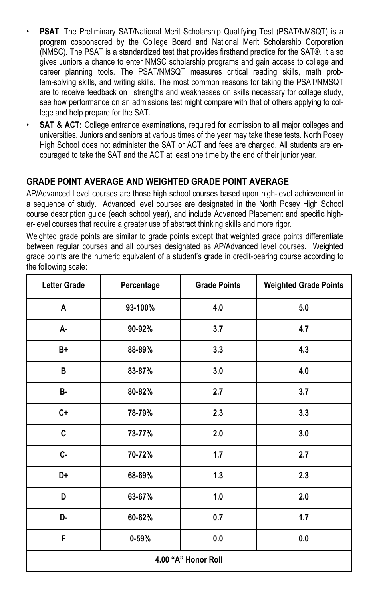- **PSAT**: The Preliminary SAT/National Merit Scholarship Qualifying Test (PSAT/NMSQT) is a program cosponsored by the College Board and National Merit Scholarship Corporation (NMSC). The PSAT is a standardized test that provides firsthand practice for the SAT®. It also gives Juniors a chance to enter NMSC scholarship programs and gain access to college and career planning tools. The PSAT/NMSQT measures critical reading skills, math problem-solving skills, and writing skills. The most common reasons for taking the PSAT/NMSQT are to receive feedback on strengths and weaknesses on skills necessary for college study, see how performance on an admissions test might compare with that of others applying to college and help prepare for the SAT.
- **SAT & ACT:** College entrance examinations, required for admission to all major colleges and universities. Juniors and seniors at various times of the year may take these tests. North Posey High School does not administer the SAT or ACT and fees are charged. All students are encouraged to take the SAT and the ACT at least one time by the end of their junior year.

## **GRADE POINT AVERAGE AND WEIGHTED GRADE POINT AVERAGE**

AP/Advanced Level courses are those high school courses based upon high-level achievement in a sequence of study. Advanced level courses are designated in the North Posey High School course description guide (each school year), and include Advanced Placement and specific higher-level courses that require a greater use of abstract thinking skills and more rigor.

Weighted grade points are similar to grade points except that weighted grade points differentiate between regular courses and all courses designated as AP/Advanced level courses. Weighted grade points are the numeric equivalent of a student's grade in credit-bearing course according to the following scale:

| <b>Letter Grade</b> | Percentage | <b>Grade Points</b> | <b>Weighted Grade Points</b> |  |
|---------------------|------------|---------------------|------------------------------|--|
| Α                   | 93-100%    | 4.0                 | 5.0                          |  |
| А-                  | 90-92%     | 3.7                 | 4.7                          |  |
| B+                  | 88-89%     | 3.3                 | 4.3                          |  |
| B                   | 83-87%     | 3.0                 | 4.0                          |  |
| B-                  | 80-82%     | 2.7                 | 3.7                          |  |
| $C +$               | 78-79%     | 2.3                 | 3.3                          |  |
| C                   | 73-77%     | 2.0                 | 3.0                          |  |
| c-                  | 70-72%     | 1.7                 | 2.7                          |  |
| D+                  | 68-69%     | 1.3                 | 2.3                          |  |
| D                   | 63-67%     | 1.0                 | 2.0                          |  |
| D-                  | 60-62%     | 0.7                 | 1.7                          |  |
| F                   | $0 - 59%$  | $0.0\,$             | $0.0\,$                      |  |
| 4.00 "A" Honor Roll |            |                     |                              |  |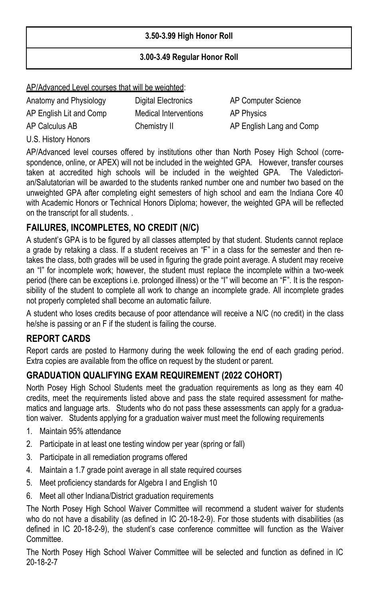#### **3.50-3.99 High Honor Roll**

#### **3.00-3.49 Regular Honor Roll**

#### AP/Advanced Level courses that will be weighted:

Anatomy and Physiology **Digital Electronics** AP Computer Science AP English Lit and Comp Medical Interventions AP Physics AP Calculus AB Chemistry II AP English Lang and Comp

U.S. History Honors

AP/Advanced level courses offered by institutions other than North Posey High School (correspondence, online, or APEX) will not be included in the weighted GPA. However, transfer courses taken at accredited high schools will be included in the weighted GPA. The Valedictorian/Salutatorian will be awarded to the students ranked number one and number two based on the unweighted GPA after completing eight semesters of high school and earn the Indiana Core 40 with Academic Honors or Technical Honors Diploma; however, the weighted GPA will be reflected on the transcript for all students. .

## **FAILURES, INCOMPLETES, NO CREDIT (N/C)**

A student's GPA is to be figured by all classes attempted by that student. Students cannot replace a grade by retaking a class. If a student receives an "F" in a class for the semester and then retakes the class, both grades will be used in figuring the grade point average. A student may receive an "I" for incomplete work; however, the student must replace the incomplete within a two-week period (there can be exceptions i.e. prolonged illness) or the "I" will become an "F". It is the responsibility of the student to complete all work to change an incomplete grade. All incomplete grades not properly completed shall become an automatic failure.

A student who loses credits because of poor attendance will receive a N/C (no credit) in the class he/she is passing or an F if the student is failing the course.

## **REPORT CARDS**

Report cards are posted to Harmony during the week following the end of each grading period. Extra copies are available from the office on request by the student or parent.

## **GRADUATION QUALIFYING EXAM REQUIREMENT (2022 COHORT)**

North Posey High School Students meet the graduation requirements as long as they earn 40 credits, meet the requirements listed above and pass the state required assessment for mathematics and language arts. Students who do not pass these assessments can apply for a graduation waiver. Students applying for a graduation waiver must meet the following requirements

- 1. Maintain 95% attendance
- 2. Participate in at least one testing window per year (spring or fall)
- 3. Participate in all remediation programs offered
- 4. Maintain a 1.7 grade point average in all state required courses
- 5. Meet proficiency standards for Algebra I and English 10
- 6. Meet all other Indiana/District graduation requirements

The North Posey High School Waiver Committee will recommend a student waiver for students who do not have a disability (as defined in IC 20-18-2-9). For those students with disabilities (as defined in IC 20-18-2-9), the student's case conference committee will function as the Waiver Committee.

The North Posey High School Waiver Committee will be selected and function as defined in IC 20-18-2-7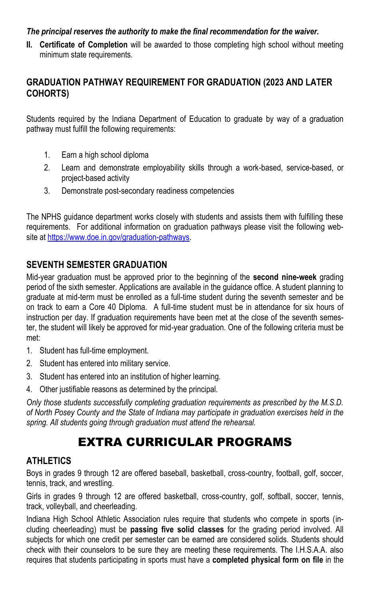#### *The principal reserves the authority to make the final recommendation for the waiver.*

**II. Certificate of Completion** will be awarded to those completing high school without meeting minimum state requirements.

#### **GRADUATION PATHWAY REQUIREMENT FOR GRADUATION (2023 AND LATER COHORTS)**

Students required by the Indiana Department of Education to graduate by way of a graduation pathway must fulfill the following requirements:

- 1. Earn a high school diploma
- 2. Learn and demonstrate employability skills through a work-based, service-based, or project-based activity
- 3. Demonstrate post-secondary readiness competencies

The NPHS guidance department works closely with students and assists them with fulfilling these requirements. For additional information on graduation pathways please visit the following website at [https://www.doe.in.gov/graduation-pathways.](https://www.doe.in.gov/graduation-pathways)

#### **SEVENTH SEMESTER GRADUATION**

Mid-year graduation must be approved prior to the beginning of the **second nine-week** grading period of the sixth semester. Applications are available in the guidance office. A student planning to graduate at mid-term must be enrolled as a full-time student during the seventh semester and be on track to earn a Core 40 Diploma. A full-time student must be in attendance for six hours of instruction per day. If graduation requirements have been met at the close of the seventh semester, the student will likely be approved for mid-year graduation. One of the following criteria must be met:

- 1. Student has full-time employment.
- 2. Student has entered into military service.
- 3. Student has entered into an institution of higher learning.
- 4. Other justifiable reasons as determined by the principal.

*Only those students successfully completing graduation requirements as prescribed by the M.S.D. of North Posey County and the State of Indiana may participate in graduation exercises held in the spring. All students going through graduation must attend the rehearsal.* 

## EXTRA CURRICULAR PROGRAMS

#### **ATHLETICS**

Boys in grades 9 through 12 are offered baseball, basketball, cross-country, football, golf, soccer, tennis, track, and wrestling.

Girls in grades 9 through 12 are offered basketball, cross-country, golf, softball, soccer, tennis, track, volleyball, and cheerleading.

Indiana High School Athletic Association rules require that students who compete in sports (including cheerleading) must be **passing five solid classes** for the grading period involved. All subjects for which one credit per semester can be earned are considered solids. Students should check with their counselors to be sure they are meeting these requirements. The I.H.S.A.A. also requires that students participating in sports must have a **completed physical form on file** in the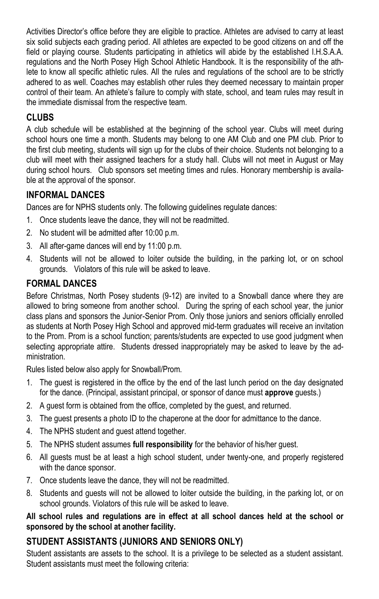Activities Director's office before they are eligible to practice. Athletes are advised to carry at least six solid subjects each grading period. All athletes are expected to be good citizens on and off the field or playing course. Students participating in athletics will abide by the established I.H.S.A.A. regulations and the North Posey High School Athletic Handbook. It is the responsibility of the athlete to know all specific athletic rules. All the rules and regulations of the school are to be strictly adhered to as well. Coaches may establish other rules they deemed necessary to maintain proper control of their team. An athlete's failure to comply with state, school, and team rules may result in the immediate dismissal from the respective team.

## **CLUBS**

A club schedule will be established at the beginning of the school year. Clubs will meet during school hours one time a month. Students may belong to one AM Club and one PM club. Prior to the first club meeting, students will sign up for the clubs of their choice. Students not belonging to a club will meet with their assigned teachers for a study hall. Clubs will not meet in August or May during school hours. Club sponsors set meeting times and rules. Honorary membership is available at the approval of the sponsor.

## **INFORMAL DANCES**

Dances are for NPHS students only. The following guidelines regulate dances:

- 1. Once students leave the dance, they will not be readmitted.
- 2. No student will be admitted after 10:00 p.m.
- 3. All after-game dances will end by 11:00 p.m.
- 4. Students will not be allowed to loiter outside the building, in the parking lot, or on school grounds. Violators of this rule will be asked to leave.

## **FORMAL DANCES**

Before Christmas, North Posey students (9-12) are invited to a Snowball dance where they are allowed to bring someone from another school. During the spring of each school year, the junior class plans and sponsors the Junior-Senior Prom. Only those juniors and seniors officially enrolled as students at North Posey High School and approved mid-term graduates will receive an invitation to the Prom. Prom is a school function; parents/students are expected to use good judgment when selecting appropriate attire. Students dressed inappropriately may be asked to leave by the administration.

Rules listed below also apply for Snowball/Prom.

- 1. The guest is registered in the office by the end of the last lunch period on the day designated for the dance. (Principal, assistant principal, or sponsor of dance must **approve** guests.)
- 2. A guest form is obtained from the office, completed by the guest, and returned.
- 3. The guest presents a photo ID to the chaperone at the door for admittance to the dance.
- 4. The NPHS student and guest attend together.
- 5. The NPHS student assumes **full responsibility** for the behavior of his/her guest.
- 6. All guests must be at least a high school student, under twenty-one, and properly registered with the dance sponsor.
- 7. Once students leave the dance, they will not be readmitted.
- 8. Students and guests will not be allowed to loiter outside the building, in the parking lot, or on school grounds. Violators of this rule will be asked to leave.

#### **All school rules and regulations are in effect at all school dances held at the school or sponsored by the school at another facility.**

## **STUDENT ASSISTANTS (JUNIORS AND SENIORS ONLY)**

Student assistants are assets to the school. It is a privilege to be selected as a student assistant. Student assistants must meet the following criteria: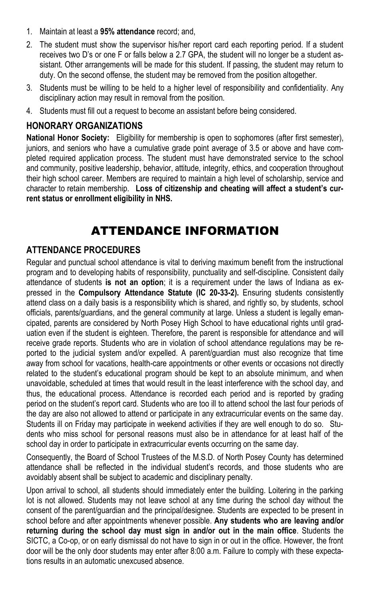- 1. Maintain at least a **95% attendance** record; and,
- 2. The student must show the supervisor his/her report card each reporting period. If a student receives two D's or one F or falls below a 2.7 GPA, the student will no longer be a student assistant. Other arrangements will be made for this student. If passing, the student may return to duty. On the second offense, the student may be removed from the position altogether.
- 3. Students must be willing to be held to a higher level of responsibility and confidentiality. Any disciplinary action may result in removal from the position.
- 4. Students must fill out a request to become an assistant before being considered.

#### **HONORARY ORGANIZATIONS**

**National Honor Society:** Eligibility for membership is open to sophomores (after first semester), juniors, and seniors who have a cumulative grade point average of 3.5 or above and have completed required application process. The student must have demonstrated service to the school and community, positive leadership, behavior, attitude, integrity, ethics, and cooperation throughout their high school career. Members are required to maintain a high level of scholarship, service and character to retain membership. **Loss of citizenship and cheating will affect a student's current status or enrollment eligibility in NHS.**

## ATTENDANCE INFORMATION

## **ATTENDANCE PROCEDURES**

Regular and punctual school attendance is vital to deriving maximum benefit from the instructional program and to developing habits of responsibility, punctuality and self-discipline. Consistent daily attendance of students **is not an option**; it is a requirement under the laws of Indiana as expressed in the **Compulsory Attendance Statute (IC 20-33-2).** Ensuring students consistently attend class on a daily basis is a responsibility which is shared, and rightly so, by students, school officials, parents/guardians, and the general community at large. Unless a student is legally emancipated, parents are considered by North Posey High School to have educational rights until graduation even if the student is eighteen. Therefore, the parent is responsible for attendance and will receive grade reports. Students who are in violation of school attendance regulations may be reported to the judicial system and/or expelled. A parent/guardian must also recognize that time away from school for vacations, health-care appointments or other events or occasions not directly related to the student's educational program should be kept to an absolute minimum, and when unavoidable, scheduled at times that would result in the least interference with the school day, and thus, the educational process. Attendance is recorded each period and is reported by grading period on the student's report card. Students who are too ill to attend school the last four periods of the day are also not allowed to attend or participate in any extracurricular events on the same day. Students ill on Friday may participate in weekend activities if they are well enough to do so. Students who miss school for personal reasons must also be in attendance for at least half of the school day in order to participate in extracurricular events occurring on the same day.

Consequently, the Board of School Trustees of the M.S.D. of North Posey County has determined attendance shall be reflected in the individual student's records, and those students who are avoidably absent shall be subject to academic and disciplinary penalty.

Upon arrival to school, all students should immediately enter the building. Loitering in the parking lot is not allowed. Students may not leave school at any time during the school day without the consent of the parent/guardian and the principal/designee. Students are expected to be present in school before and after appointments whenever possible. **Any students who are leaving and/or returning during the school day must sign in and/or out in the main office**. Students the SICTC, a Co-op, or on early dismissal do not have to sign in or out in the office. However, the front door will be the only door students may enter after 8:00 a.m. Failure to comply with these expectations results in an automatic unexcused absence.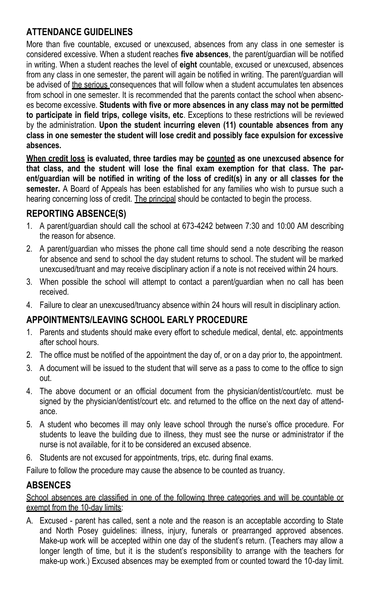## **ATTENDANCE GUIDELINES**

More than five countable, excused or unexcused, absences from any class in one semester is considered excessive. When a student reaches **five absences**, the parent/guardian will be notified in writing. When a student reaches the level of **eight** countable, excused or unexcused, absences from any class in one semester, the parent will again be notified in writing. The parent/guardian will be advised of the serious consequences that will follow when a student accumulates ten absences from school in one semester. It is recommended that the parents contact the school when absences become excessive. **Students with five or more absences in any class may not be permitted to participate in field trips, college visits, etc**. Exceptions to these restrictions will be reviewed by the administration. **Upon the student incurring eleven (11) countable absences from any class in one semester the student will lose credit and possibly face expulsion for excessive absences.** 

**When credit loss is evaluated, three tardies may be counted as one unexcused absence for that class, and the student will lose the final exam exemption for that class. The parent/guardian will be notified in writing of the loss of credit(s) in any or all classes for the semester.** A Board of Appeals has been established for any families who wish to pursue such a hearing concerning loss of credit. The principal should be contacted to begin the process.

#### **REPORTING ABSENCE(S)**

- 1. A parent/guardian should call the school at 673-4242 between 7:30 and 10:00 AM describing the reason for absence.
- 2. A parent/guardian who misses the phone call time should send a note describing the reason for absence and send to school the day student returns to school. The student will be marked unexcused/truant and may receive disciplinary action if a note is not received within 24 hours.
- 3. When possible the school will attempt to contact a parent/guardian when no call has been received.
- 4. Failure to clear an unexcused/truancy absence within 24 hours will result in disciplinary action.

## **APPOINTMENTS/LEAVING SCHOOL EARLY PROCEDURE**

- 1. Parents and students should make every effort to schedule medical, dental, etc. appointments after school hours.
- 2. The office must be notified of the appointment the day of, or on a day prior to, the appointment.
- 3. A document will be issued to the student that will serve as a pass to come to the office to sign out.
- 4. The above document or an official document from the physician/dentist/court/etc. must be signed by the physician/dentist/court etc. and returned to the office on the next day of attendance.
- 5. A student who becomes ill may only leave school through the nurse's office procedure. For students to leave the building due to illness, they must see the nurse or administrator if the nurse is not available, for it to be considered an excused absence.
- 6. Students are not excused for appointments, trips, etc. during final exams.

Failure to follow the procedure may cause the absence to be counted as truancy.

#### **ABSENCES**

School absences are classified in one of the following three categories and will be countable or exempt from the 10-day limits:

A. Excused - parent has called, sent a note and the reason is an acceptable according to State and North Posey guidelines: illness, injury, funerals or prearranged approved absences. Make-up work will be accepted within one day of the student's return. (Teachers may allow a longer length of time, but it is the student's responsibility to arrange with the teachers for make-up work.) Excused absences may be exempted from or counted toward the 10-day limit.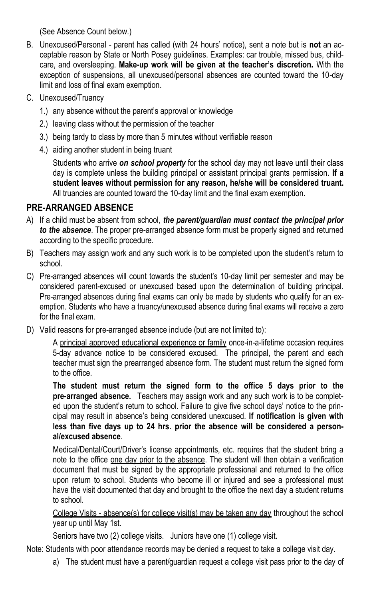(See Absence Count below.)

- B. Unexcused/Personal parent has called (with 24 hours' notice), sent a note but is **not** an acceptable reason by State or North Posey guidelines. Examples: car trouble, missed bus, childcare, and oversleeping. **Make-up work will be given at the teacher's discretion.** With the exception of suspensions, all unexcused/personal absences are counted toward the 10-day limit and loss of final exam exemption.
- C. Unexcused/Truancy
	- 1.) any absence without the parent's approval or knowledge
	- 2.) leaving class without the permission of the teacher
	- 3.) being tardy to class by more than 5 minutes without verifiable reason
	- 4.) aiding another student in being truant

Students who arrive *on school property* for the school day may not leave until their class day is complete unless the building principal or assistant principal grants permission. **If a student leaves without permission for any reason, he/she will be considered truant.**  All truancies are counted toward the 10-day limit and the final exam exemption.

## **PRE-ARRANGED ABSENCE**

- A) If a child must be absent from school, *the parent/guardian must contact the principal prior to the absence*. The proper pre-arranged absence form must be properly signed and returned according to the specific procedure.
- B) Teachers may assign work and any such work is to be completed upon the student's return to school.
- C) Pre-arranged absences will count towards the student's 10-day limit per semester and may be considered parent-excused or unexcused based upon the determination of building principal. Pre-arranged absences during final exams can only be made by students who qualify for an exemption. Students who have a truancy/unexcused absence during final exams will receive a zero for the final exam.
- D) Valid reasons for pre-arranged absence include (but are not limited to):

A principal approved educational experience or family once-in-a-lifetime occasion requires 5-day advance notice to be considered excused. The principal, the parent and each teacher must sign the prearranged absence form. The student must return the signed form to the office.

**The student must return the signed form to the office 5 days prior to the pre-arranged absence.** Teachers may assign work and any such work is to be completed upon the student's return to school. Failure to give five school days' notice to the principal may result in absence's being considered unexcused. **If notification is given with less than five days up to 24 hrs. prior the absence will be considered a personal/excused absence**.

Medical/Dental/Court/Driver's license appointments, etc. requires that the student bring a note to the office one day prior to the absence. The student will then obtain a verification document that must be signed by the appropriate professional and returned to the office upon return to school. Students who become ill or injured and see a professional must have the visit documented that day and brought to the office the next day a student returns to school.

College Visits - absence(s) for college visit(s) may be taken any day throughout the school year up until May 1st.

Seniors have two (2) college visits. Juniors have one (1) college visit.

Note: Students with poor attendance records may be denied a request to take a college visit day.

a) The student must have a parent/guardian request a college visit pass prior to the day of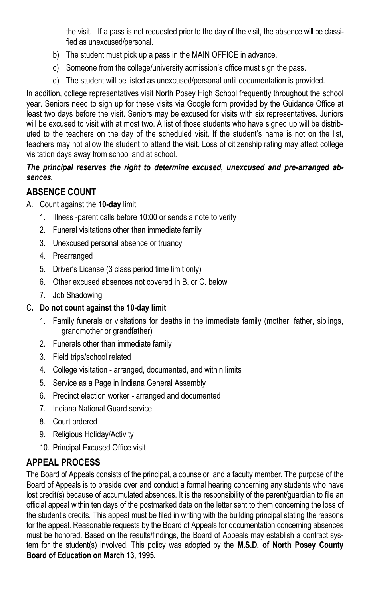the visit. If a pass is not requested prior to the day of the visit, the absence will be classified as unexcused/personal.

- b) The student must pick up a pass in the MAIN OFFICE in advance.
- c) Someone from the college/university admission's office must sign the pass.
- d) The student will be listed as unexcused/personal until documentation is provided.

In addition, college representatives visit North Posey High School frequently throughout the school year. Seniors need to sign up for these visits via Google form provided by the Guidance Office at least two days before the visit. Seniors may be excused for visits with six representatives. Juniors will be excused to visit with at most two. A list of those students who have signed up will be distributed to the teachers on the day of the scheduled visit. If the student's name is not on the list, teachers may not allow the student to attend the visit. Loss of citizenship rating may affect college visitation days away from school and at school.

#### *The principal reserves the right to determine excused, unexcused and pre-arranged absences.*

## **ABSENCE COUNT**

- A. Count against the **10-day** limit:
	- 1. Illness -parent calls before 10:00 or sends a note to verify
	- 2. Funeral visitations other than immediate family
	- 3. Unexcused personal absence or truancy
	- 4. Prearranged
	- 5. Driver's License (3 class period time limit only)
	- 6. Other excused absences not covered in B. or C. below
	- 7. Job Shadowing

#### C**. Do not count against the 10-day limit**

- 1. Family funerals or visitations for deaths in the immediate family (mother, father, siblings, grandmother or grandfather)
- 2. Funerals other than immediate family
- 3. Field trips/school related
- 4. College visitation arranged, documented, and within limits
- 5. Service as a Page in Indiana General Assembly
- 6. Precinct election worker arranged and documented
- 7. Indiana National Guard service
- 8. Court ordered
- 9. Religious Holiday/Activity
- 10. Principal Excused Office visit

## **APPEAL PROCESS**

The Board of Appeals consists of the principal, a counselor, and a faculty member. The purpose of the Board of Appeals is to preside over and conduct a formal hearing concerning any students who have lost credit(s) because of accumulated absences. It is the responsibility of the parent/guardian to file an official appeal within ten days of the postmarked date on the letter sent to them concerning the loss of the student's credits. This appeal must be filed in writing with the building principal stating the reasons for the appeal. Reasonable requests by the Board of Appeals for documentation concerning absences must be honored. Based on the results/findings, the Board of Appeals may establish a contract system for the student(s) involved. This policy was adopted by the **M.S.D. of North Posey County Board of Education on March 13, 1995.**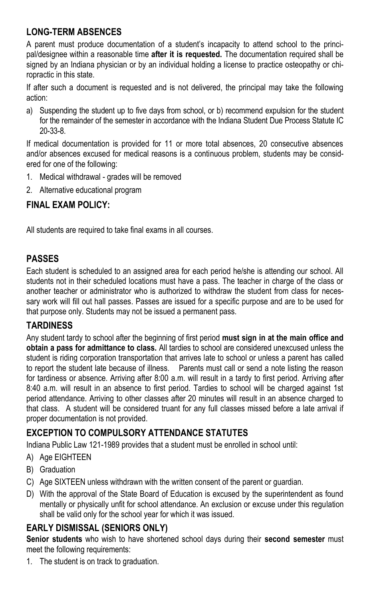## **LONG-TERM ABSENCES**

A parent must produce documentation of a student's incapacity to attend school to the principal/designee within a reasonable time **after it is requested.** The documentation required shall be signed by an Indiana physician or by an individual holding a license to practice osteopathy or chiropractic in this state.

If after such a document is requested and is not delivered, the principal may take the following action:

a) Suspending the student up to five days from school, or b) recommend expulsion for the student for the remainder of the semester in accordance with the Indiana Student Due Process Statute IC 20-33-8.

If medical documentation is provided for 11 or more total absences, 20 consecutive absences and/or absences excused for medical reasons is a continuous problem, students may be considered for one of the following:

- 1. Medical withdrawal grades will be removed
- 2. Alternative educational program

## **FINAL EXAM POLICY:**

All students are required to take final exams in all courses.

## **PASSES**

Each student is scheduled to an assigned area for each period he/she is attending our school. All students not in their scheduled locations must have a pass. The teacher in charge of the class or another teacher or administrator who is authorized to withdraw the student from class for necessary work will fill out hall passes. Passes are issued for a specific purpose and are to be used for that purpose only. Students may not be issued a permanent pass.

## **TARDINESS**

Any student tardy to school after the beginning of first period **must sign in at the main office and obtain a pass for admittance to class.** All tardies to school are considered unexcused unless the student is riding corporation transportation that arrives late to school or unless a parent has called to report the student late because of illness. Parents must call or send a note listing the reason for tardiness or absence. Arriving after 8:00 a.m. will result in a tardy to first period. Arriving after 8:40 a.m. will result in an absence to first period. Tardies to school will be charged against 1st period attendance. Arriving to other classes after 20 minutes will result in an absence charged to that class. A student will be considered truant for any full classes missed before a late arrival if proper documentation is not provided.

## **EXCEPTION TO COMPULSORY ATTENDANCE STATUTES**

Indiana Public Law 121-1989 provides that a student must be enrolled in school until:

- A) Age EIGHTEEN
- B) Graduation
- C) Age SIXTEEN unless withdrawn with the written consent of the parent or guardian.
- D) With the approval of the State Board of Education is excused by the superintendent as found mentally or physically unfit for school attendance. An exclusion or excuse under this regulation shall be valid only for the school year for which it was issued.

## **EARLY DISMISSAL (SENIORS ONLY)**

**Senior students** who wish to have shortened school days during their **second semester** must meet the following requirements:

1. The student is on track to graduation.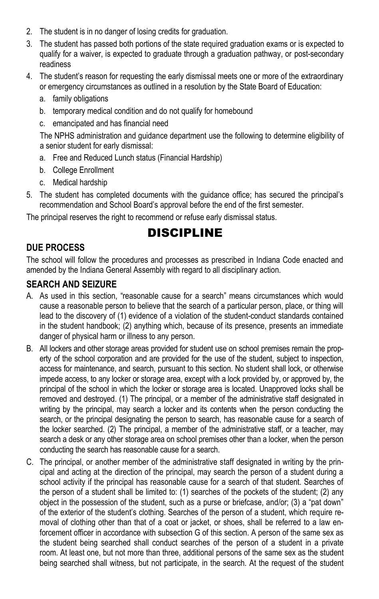- 2. The student is in no danger of losing credits for graduation.
- 3. The student has passed both portions of the state required graduation exams or is expected to qualify for a waiver, is expected to graduate through a graduation pathway, or post-secondary readiness
- 4. The student's reason for requesting the early dismissal meets one or more of the extraordinary or emergency circumstances as outlined in a resolution by the State Board of Education:
	- a. family obligations
	- b. temporary medical condition and do not qualify for homebound
	- c. emancipated and has financial need

The NPHS administration and guidance department use the following to determine eligibility of a senior student for early dismissal:

- a. Free and Reduced Lunch status (Financial Hardship)
- b. College Enrollment
- c. Medical hardship
- 5. The student has completed documents with the guidance office; has secured the principal's recommendation and School Board's approval before the end of the first semester.

The principal reserves the right to recommend or refuse early dismissal status.

## DISCIPLINE

## **DUE PROCESS**

The school will follow the procedures and processes as prescribed in Indiana Code enacted and amended by the Indiana General Assembly with regard to all disciplinary action.

#### **SEARCH AND SEIZURE**

- A. As used in this section, "reasonable cause for a search" means circumstances which would cause a reasonable person to believe that the search of a particular person, place, or thing will lead to the discovery of (1) evidence of a violation of the student-conduct standards contained in the student handbook; (2) anything which, because of its presence, presents an immediate danger of physical harm or illness to any person.
- B. All lockers and other storage areas provided for student use on school premises remain the property of the school corporation and are provided for the use of the student, subject to inspection, access for maintenance, and search, pursuant to this section. No student shall lock, or otherwise impede access, to any locker or storage area, except with a lock provided by, or approved by, the principal of the school in which the locker or storage area is located. Unapproved locks shall be removed and destroyed. (1) The principal, or a member of the administrative staff designated in writing by the principal, may search a locker and its contents when the person conducting the search, or the principal designating the person to search, has reasonable cause for a search of the locker searched. (2) The principal, a member of the administrative staff, or a teacher, may search a desk or any other storage area on school premises other than a locker, when the person conducting the search has reasonable cause for a search.
- C. The principal, or another member of the administrative staff designated in writing by the principal and acting at the direction of the principal, may search the person of a student during a school activity if the principal has reasonable cause for a search of that student. Searches of the person of a student shall be limited to: (1) searches of the pockets of the student; (2) any object in the possession of the student, such as a purse or briefcase, and/or; (3) a "pat down" of the exterior of the student's clothing. Searches of the person of a student, which require removal of clothing other than that of a coat or jacket, or shoes, shall be referred to a law enforcement officer in accordance with subsection G of this section. A person of the same sex as the student being searched shall conduct searches of the person of a student in a private room. At least one, but not more than three, additional persons of the same sex as the student being searched shall witness, but not participate, in the search. At the request of the student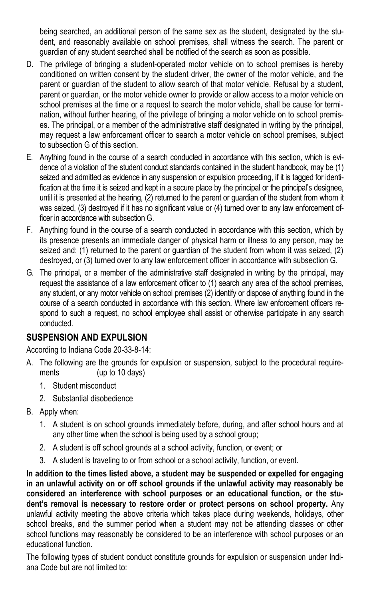being searched, an additional person of the same sex as the student, designated by the student, and reasonably available on school premises, shall witness the search. The parent or guardian of any student searched shall be notified of the search as soon as possible.

- D. The privilege of bringing a student-operated motor vehicle on to school premises is hereby conditioned on written consent by the student driver, the owner of the motor vehicle, and the parent or guardian of the student to allow search of that motor vehicle. Refusal by a student, parent or guardian, or the motor vehicle owner to provide or allow access to a motor vehicle on school premises at the time or a request to search the motor vehicle, shall be cause for termination, without further hearing, of the privilege of bringing a motor vehicle on to school premises. The principal, or a member of the administrative staff designated in writing by the principal, may request a law enforcement officer to search a motor vehicle on school premises, subject to subsection G of this section.
- E. Anything found in the course of a search conducted in accordance with this section, which is evidence of a violation of the student conduct standards contained in the student handbook, may be (1) seized and admitted as evidence in any suspension or expulsion proceeding, if it is tagged for identification at the time it is seized and kept in a secure place by the principal or the principal's designee, until it is presented at the hearing, (2) returned to the parent or guardian of the student from whom it was seized, (3) destroyed if it has no significant value or (4) turned over to any law enforcement officer in accordance with subsection G.
- F. Anything found in the course of a search conducted in accordance with this section, which by its presence presents an immediate danger of physical harm or illness to any person, may be seized and: (1) returned to the parent or guardian of the student from whom it was seized, (2) destroyed, or (3) turned over to any law enforcement officer in accordance with subsection G.
- G. The principal, or a member of the administrative staff designated in writing by the principal, may request the assistance of a law enforcement officer to (1) search any area of the school premises, any student, or any motor vehicle on school premises (2) identify or dispose of anything found in the course of a search conducted in accordance with this section. Where law enforcement officers respond to such a request, no school employee shall assist or otherwise participate in any search conducted.

#### **SUSPENSION AND EXPULSION**

According to Indiana Code 20-33-8-14:

- A. The following are the grounds for expulsion or suspension, subject to the procedural requirements (up to 10 days)
	- 1. Student misconduct
	- 2. Substantial disobedience
- B. Apply when:
	- 1. A student is on school grounds immediately before, during, and after school hours and at any other time when the school is being used by a school group;
	- 2. A student is off school grounds at a school activity, function, or event; or
	- 3. A student is traveling to or from school or a school activity, function, or event.

**In addition to the times listed above, a student may be suspended or expelled for engaging in an unlawful activity on or off school grounds if the unlawful activity may reasonably be considered an interference with school purposes or an educational function, or the student's removal is necessary to restore order or protect persons on school property.** Any unlawful activity meeting the above criteria which takes place during weekends, holidays, other school breaks, and the summer period when a student may not be attending classes or other school functions may reasonably be considered to be an interference with school purposes or an educational function.

The following types of student conduct constitute grounds for expulsion or suspension under Indiana Code but are not limited to: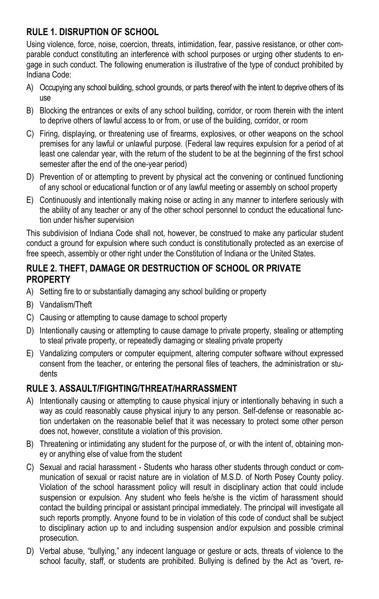## **RULE 1. DISRUPTION OF SCHOOL**

Using violence, force, noise, coercion, threats, intimidation, fear, passive resistance, or other comparable conduct constituting an interference with school purposes or urging other students to engage in such conduct. The following enumeration is illustrative of the type of conduct prohibited by Indiana Code:

- A) Occupying any school building, school grounds, or parts thereof with the intent to deprive others of its use
- B) Blocking the entrances or exits of any school building, corridor, or room therein with the intent to deprive others of lawful access to or from, or use of the building, corridor, or room
- C) Firing, displaying, or threatening use of firearms, explosives, or other weapons on the school premises for any lawful or unlawful purpose. (Federal law requires expulsion for a period of at least one calendar year, with the return of the student to be at the beginning of the first school semester after the end of the one-year period)
- D) Prevention of or attempting to prevent by physical act the convening or continued functioning of any school or educational function or of any lawful meeting or assembly on school property
- E) Continuously and intentionally making noise or acting in any manner to interfere seriously with the ability of any teacher or any of the other school personnel to conduct the educational function under his/her supervision

This subdivision of Indiana Code shall not, however, be construed to make any particular student conduct a ground for expulsion where such conduct is constitutionally protected as an exercise of free speech, assembly or other right under the Constitution of Indiana or the United States.

#### **RULE 2. THEFT, DAMAGE OR DESTRUCTION OF SCHOOL OR PRIVATE PROPERTY**

- A) Setting fire to or substantially damaging any school building or property
- B) Vandalism/Theft
- C) Causing or attempting to cause damage to school property
- D) Intentionally causing or attempting to cause damage to private property, stealing or attempting to steal private property, or repeatedly damaging or stealing private property
- E) Vandalizing computers or computer equipment, altering computer software without expressed consent from the teacher, or entering the personal files of teachers, the administration or students

## **RULE 3. ASSAULT/FIGHTING/THREAT/HARRASSMENT**

- A) Intentionally causing or attempting to cause physical injury or intentionally behaving in such a way as could reasonably cause physical injury to any person. Self-defense or reasonable action undertaken on the reasonable belief that it was necessary to protect some other person does not, however, constitute a violation of this provision.
- B) Threatening or intimidating any student for the purpose of, or with the intent of, obtaining money or anything else of value from the student
- C) Sexual and racial harassment Students who harass other students through conduct or communication of sexual or racist nature are in violation of M.S.D. of North Posey County policy. Violation of the school harassment policy will result in disciplinary action that could include suspension or expulsion. Any student who feels he/she is the victim of harassment should contact the building principal or assistant principal immediately. The principal will investigate all such reports promptly. Anyone found to be in violation of this code of conduct shall be subject to disciplinary action up to and including suspension and/or expulsion and possible criminal prosecution.
- D) Verbal abuse, "bullying," any indecent language or gesture or acts, threats of violence to the school faculty, staff, or students are prohibited. Bullying is defined by the Act as "overt, re-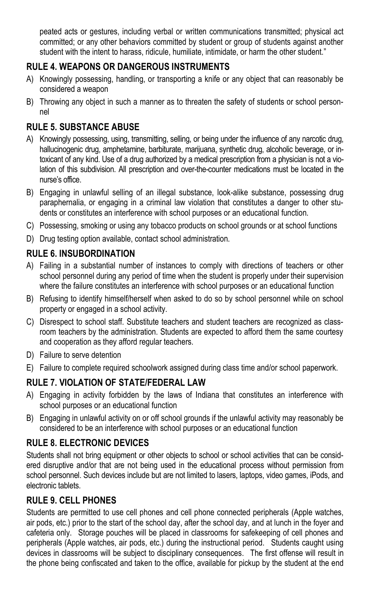peated acts or gestures, including verbal or written communications transmitted; physical act committed; or any other behaviors committed by student or group of students against another student with the intent to harass, ridicule, humiliate, intimidate, or harm the other student."

## **RULE 4. WEAPONS OR DANGEROUS INSTRUMENTS**

- A) Knowingly possessing, handling, or transporting a knife or any object that can reasonably be considered a weapon
- B) Throwing any object in such a manner as to threaten the safety of students or school personnel

## **RULE 5. SUBSTANCE ABUSE**

- A) Knowingly possessing, using, transmitting, selling, or being under the influence of any narcotic drug, hallucinogenic drug, amphetamine, barbiturate, marijuana, synthetic drug, alcoholic beverage, or intoxicant of any kind. Use of a drug authorized by a medical prescription from a physician is not a violation of this subdivision. All prescription and over-the-counter medications must be located in the nurse's office.
- B) Engaging in unlawful selling of an illegal substance, look-alike substance, possessing drug paraphernalia, or engaging in a criminal law violation that constitutes a danger to other students or constitutes an interference with school purposes or an educational function.
- C) Possessing, smoking or using any tobacco products on school grounds or at school functions
- D) Drug testing option available, contact school administration.

## **RULE 6. INSUBORDINATION**

- A) Failing in a substantial number of instances to comply with directions of teachers or other school personnel during any period of time when the student is properly under their supervision where the failure constitutes an interference with school purposes or an educational function
- B) Refusing to identify himself/herself when asked to do so by school personnel while on school property or engaged in a school activity.
- C) Disrespect to school staff. Substitute teachers and student teachers are recognized as classroom teachers by the administration. Students are expected to afford them the same courtesy and cooperation as they afford regular teachers.
- D) Failure to serve detention
- E) Failure to complete required schoolwork assigned during class time and/or school paperwork.

## **RULE 7. VIOLATION OF STATE/FEDERAL LAW**

- A) Engaging in activity forbidden by the laws of Indiana that constitutes an interference with school purposes or an educational function
- B) Engaging in unlawful activity on or off school grounds if the unlawful activity may reasonably be considered to be an interference with school purposes or an educational function

## **RULE 8. ELECTRONIC DEVICES**

Students shall not bring equipment or other objects to school or school activities that can be considered disruptive and/or that are not being used in the educational process without permission from school personnel. Such devices include but are not limited to lasers, laptops, video games, iPods, and electronic tablets.

## **RULE 9. CELL PHONES**

Students are permitted to use cell phones and cell phone connected peripherals (Apple watches, air pods, etc.) prior to the start of the school day, after the school day, and at lunch in the foyer and cafeteria only. Storage pouches will be placed in classrooms for safekeeping of cell phones and peripherals (Apple watches, air pods, etc.) during the instructional period. Students caught using devices in classrooms will be subject to disciplinary consequences. The first offense will result in the phone being confiscated and taken to the office, available for pickup by the student at the end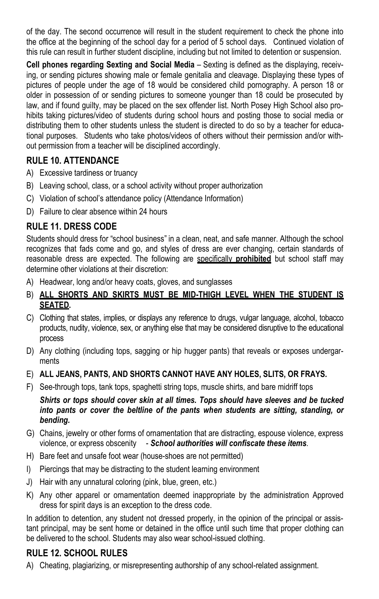of the day. The second occurrence will result in the student requirement to check the phone into the office at the beginning of the school day for a period of 5 school days. Continued violation of this rule can result in further student discipline, including but not limited to detention or suspension.

**Cell phones regarding Sexting and Social Media** – Sexting is defined as the displaying, receiving, or sending pictures showing male or female genitalia and cleavage. Displaying these types of pictures of people under the age of 18 would be considered child pornography. A person 18 or older in possession of or sending pictures to someone younger than 18 could be prosecuted by law, and if found guilty, may be placed on the sex offender list. North Posey High School also prohibits taking pictures/video of students during school hours and posting those to social media or distributing them to other students unless the student is directed to do so by a teacher for educational purposes. Students who take photos/videos of others without their permission and/or without permission from a teacher will be disciplined accordingly.

## **RULE 10. ATTENDANCE**

- A) Excessive tardiness or truancy
- B) Leaving school, class, or a school activity without proper authorization
- C) Violation of school's attendance policy (Attendance Information)
- D) Failure to clear absence within 24 hours

## **RULE 11. DRESS CODE**

Students should dress for "school business" in a clean, neat, and safe manner. Although the school recognizes that fads come and go, and styles of dress are ever changing, certain standards of reasonable dress are expected. The following are specifically **prohibited** but school staff may determine other violations at their discretion:

- A) Headwear, long and/or heavy coats, gloves, and sunglasses
- B) **ALL SHORTS AND SKIRTS MUST BE MID-THIGH LEVEL WHEN THE STUDENT IS SEATED.**
- C) Clothing that states, implies, or displays any reference to drugs, vulgar language, alcohol, tobacco products, nudity, violence, sex, or anything else that may be considered disruptive to the educational process
- D) Any clothing (including tops, sagging or hip hugger pants) that reveals or exposes undergarments
- E) **ALL JEANS, PANTS, AND SHORTS CANNOT HAVE ANY HOLES, SLITS, OR FRAYS.**
- F) See-through tops, tank tops, spaghetti string tops, muscle shirts, and bare midriff tops

*Shirts or tops should cover skin at all times. Tops should have sleeves and be tucked into pants or cover the beltline of the pants when students are sitting, standing, or bending.* 

- G) Chains, jewelry or other forms of ornamentation that are distracting, espouse violence, express violence, or express obscenity - *School authorities will confiscate these items.*
- H) Bare feet and unsafe foot wear (house-shoes are not permitted)
- I) Piercings that may be distracting to the student learning environment
- J) Hair with any unnatural coloring (pink, blue, green, etc.)
- K) Any other apparel or ornamentation deemed inappropriate by the administration Approved dress for spirit days is an exception to the dress code.

In addition to detention, any student not dressed properly, in the opinion of the principal or assistant principal, may be sent home or detained in the office until such time that proper clothing can be delivered to the school. Students may also wear school-issued clothing.

## **RULE 12. SCHOOL RULES**

A) Cheating, plagiarizing, or misrepresenting authorship of any school-related assignment.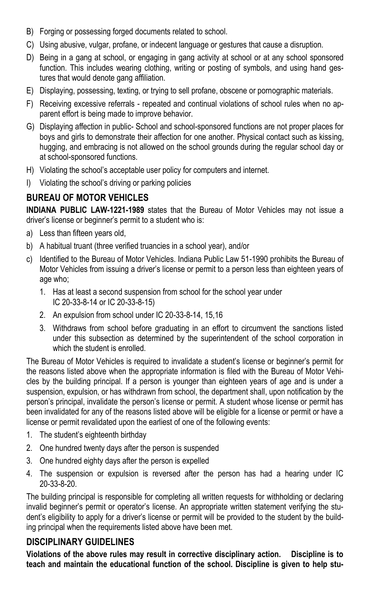- B) Forging or possessing forged documents related to school.
- C) Using abusive, vulgar, profane, or indecent language or gestures that cause a disruption.
- D) Being in a gang at school, or engaging in gang activity at school or at any school sponsored function. This includes wearing clothing, writing or posting of symbols, and using hand gestures that would denote gang affiliation.
- E) Displaying, possessing, texting, or trying to sell profane, obscene or pornographic materials.
- F) Receiving excessive referrals repeated and continual violations of school rules when no apparent effort is being made to improve behavior.
- G) Displaying affection in public- School and school-sponsored functions are not proper places for boys and girls to demonstrate their affection for one another. Physical contact such as kissing, hugging, and embracing is not allowed on the school grounds during the regular school day or at school-sponsored functions.
- H) Violating the school's acceptable user policy for computers and internet.
- I) Violating the school's driving or parking policies

#### **BUREAU OF MOTOR VEHICLES**

**INDIANA PUBLIC LAW-1221-1989** states that the Bureau of Motor Vehicles may not issue a driver's license or beginner's permit to a student who is:

- a) Less than fifteen years old,
- b) A habitual truant (three verified truancies in a school year), and/or
- c) Identified to the Bureau of Motor Vehicles. Indiana Public Law 51-1990 prohibits the Bureau of Motor Vehicles from issuing a driver's license or permit to a person less than eighteen years of age who;
	- 1. Has at least a second suspension from school for the school year under IC 20-33-8-14 or IC 20-33-8-15)
	- 2. An expulsion from school under IC 20-33-8-14, 15,16
	- 3. Withdraws from school before graduating in an effort to circumvent the sanctions listed under this subsection as determined by the superintendent of the school corporation in which the student is enrolled.

The Bureau of Motor Vehicles is required to invalidate a student's license or beginner's permit for the reasons listed above when the appropriate information is filed with the Bureau of Motor Vehicles by the building principal. If a person is younger than eighteen years of age and is under a suspension, expulsion, or has withdrawn from school, the department shall, upon notification by the person's principal, invalidate the person's license or permit. A student whose license or permit has been invalidated for any of the reasons listed above will be eligible for a license or permit or have a license or permit revalidated upon the earliest of one of the following events:

- 1. The student's eighteenth birthday
- 2. One hundred twenty days after the person is suspended
- 3. One hundred eighty days after the person is expelled
- 4. The suspension or expulsion is reversed after the person has had a hearing under IC 20-33-8-20.

The building principal is responsible for completing all written requests for withholding or declaring invalid beginner's permit or operator's license. An appropriate written statement verifying the student's eligibility to apply for a driver's license or permit will be provided to the student by the building principal when the requirements listed above have been met.

#### **DISCIPLINARY GUIDELINES**

**Violations of the above rules may result in corrective disciplinary action. Discipline is to teach and maintain the educational function of the school. Discipline is given to help stu-**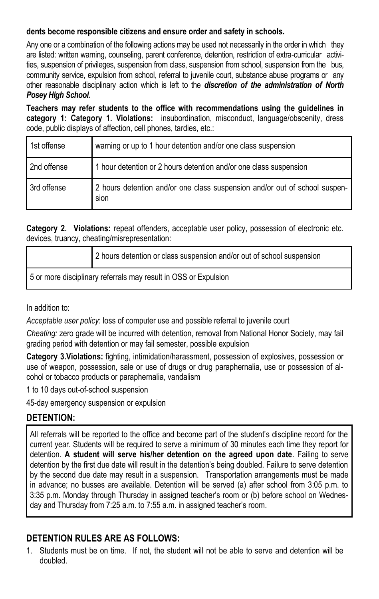#### **dents become responsible citizens and ensure order and safety in schools.**

Any one or a combination of the following actions may be used not necessarily in the order in which they are listed: written warning, counseling, parent conference, detention, restriction of extra-curricular activities, suspension of privileges, suspension from class, suspension from school, suspension from the bus, community service, expulsion from school, referral to juvenile court, substance abuse programs or any other reasonable disciplinary action which is left to the *discretion of the administration of North Posey High School.* 

**Teachers may refer students to the office with recommendations using the guidelines in category 1: Category 1. Violations:** insubordination, misconduct, language/obscenity, dress code, public displays of affection, cell phones, tardies, etc.:

| 1st offense | warning or up to 1 hour detention and/or one class suspension                      |
|-------------|------------------------------------------------------------------------------------|
| 2nd offense | 1 hour detention or 2 hours detention and/or one class suspension                  |
| 3rd offense | 2 hours detention and/or one class suspension and/or out of school suspen-<br>sion |

**Category 2. Violations:** repeat offenders, acceptable user policy, possession of electronic etc. devices, truancy, cheating/misrepresentation:

|                                                                 | 2 hours detention or class suspension and/or out of school suspension |
|-----------------------------------------------------------------|-----------------------------------------------------------------------|
| 5 or more disciplinary referrals may result in OSS or Expulsion |                                                                       |

In addition to:

*Acceptable user policy*: loss of computer use and possible referral to juvenile court

*Cheating:* zero grade will be incurred with detention, removal from National Honor Society, may fail grading period with detention or may fail semester, possible expulsion

**Category 3.Violations:** fighting, intimidation/harassment, possession of explosives, possession or use of weapon, possession, sale or use of drugs or drug paraphernalia, use or possession of alcohol or tobacco products or paraphernalia, vandalism

1 to 10 days out-of-school suspension

45-day emergency suspension or expulsion

## **DETENTION:**

All referrals will be reported to the office and become part of the student's discipline record for the current year. Students will be required to serve a minimum of 30 minutes each time they report for detention. **A student will serve his/her detention on the agreed upon date**. Failing to serve detention by the first due date will result in the detention's being doubled. Failure to serve detention by the second due date may result in a suspension. Transportation arrangements must be made in advance; no busses are available. Detention will be served (a) after school from 3:05 p.m. to 3:35 p.m. Monday through Thursday in assigned teacher's room or (b) before school on Wednesday and Thursday from 7:25 a.m. to 7:55 a.m. in assigned teacher's room.

## **DETENTION RULES ARE AS FOLLOWS:**

1. Students must be on time. If not, the student will not be able to serve and detention will be doubled.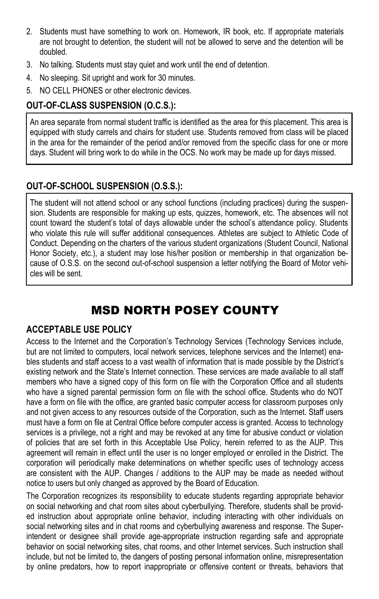- 2. Students must have something to work on. Homework, IR book, etc. If appropriate materials are not brought to detention, the student will not be allowed to serve and the detention will be doubled.
- 3. No talking. Students must stay quiet and work until the end of detention.
- 4. No sleeping. Sit upright and work for 30 minutes.
- 5. NO CELL PHONES or other electronic devices.

## **OUT-OF-CLASS SUSPENSION (O.C.S.):**

An area separate from normal student traffic is identified as the area for this placement. This area is equipped with study carrels and chairs for student use. Students removed from class will be placed in the area for the remainder of the period and/or removed from the specific class for one or more days. Student will bring work to do while in the OCS. No work may be made up for days missed.

## **OUT-OF-SCHOOL SUSPENSION (O.S.S.):**

The student will not attend school or any school functions (including practices) during the suspension. Students are responsible for making up ests, quizzes, homework, etc. The absences will not count toward the student's total of days allowable under the school's attendance policy. Students who violate this rule will suffer additional consequences. Athletes are subject to Athletic Code of Conduct. Depending on the charters of the various student organizations (Student Council, National Honor Society, etc.), a student may lose his/her position or membership in that organization because of O.S.S. on the second out-of-school suspension a letter notifying the Board of Motor vehicles will be sent.

## MSD NORTH POSEY COUNTY

## **ACCEPTABLE USE POLICY**

Access to the Internet and the Corporation's Technology Services (Technology Services include, but are not limited to computers, local network services, telephone services and the Internet) enables students and staff access to a vast wealth of information that is made possible by the District's existing network and the State's Internet connection. These services are made available to all staff members who have a signed copy of this form on file with the Corporation Office and all students who have a signed parental permission form on file with the school office. Students who do NOT have a form on file with the office, are granted basic computer access for classroom purposes only and not given access to any resources outside of the Corporation, such as the Internet. Staff users must have a form on file at Central Office before computer access is granted. Access to technology services is a privilege, not a right and may be revoked at any time for abusive conduct or violation of policies that are set forth in this Acceptable Use Policy, herein referred to as the AUP. This agreement will remain in effect until the user is no longer employed or enrolled in the District. The corporation will periodically make determinations on whether specific uses of technology access are consistent with the AUP. Changes / additions to the AUP may be made as needed without notice to users but only changed as approved by the Board of Education.

The Corporation recognizes its responsibility to educate students regarding appropriate behavior on social networking and chat room sites about cyberbullying. Therefore, students shall be provided instruction about appropriate online behavior, including interacting with other individuals on social networking sites and in chat rooms and cyberbullying awareness and response. The Superintendent or designee shall provide age-appropriate instruction regarding safe and appropriate behavior on social networking sites, chat rooms, and other Internet services. Such instruction shall include, but not be limited to, the dangers of posting personal information online, misrepresentation by online predators, how to report inappropriate or offensive content or threats, behaviors that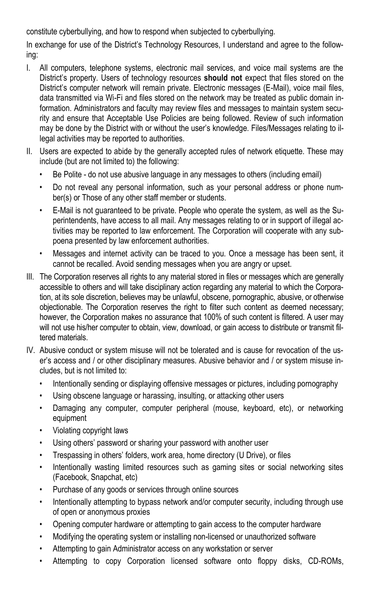constitute cyberbullying, and how to respond when subjected to cyberbullying.

In exchange for use of the District's Technology Resources, I understand and agree to the following:

- I. All computers, telephone systems, electronic mail services, and voice mail systems are the District's property. Users of technology resources **should not** expect that files stored on the District's computer network will remain private. Electronic messages (E-Mail), voice mail files, data transmitted via Wi-Fi and files stored on the network may be treated as public domain information. Administrators and faculty may review files and messages to maintain system security and ensure that Acceptable Use Policies are being followed. Review of such information may be done by the District with or without the user's knowledge. Files/Messages relating to illegal activities may be reported to authorities.
- II. Users are expected to abide by the generally accepted rules of network etiquette. These may include (but are not limited to) the following:
	- Be Polite do not use abusive language in any messages to others (including email)
	- Do not reveal any personal information, such as your personal address or phone number(s) or Those of any other staff member or students.
	- E-Mail is not guaranteed to be private. People who operate the system, as well as the Superintendents, have access to all mail. Any messages relating to or in support of illegal activities may be reported to law enforcement. The Corporation will cooperate with any subpoena presented by law enforcement authorities.
	- Messages and internet activity can be traced to you. Once a message has been sent, it cannot be recalled. Avoid sending messages when you are angry or upset.
- III. The Corporation reserves all rights to any material stored in files or messages which are generally accessible to others and will take disciplinary action regarding any material to which the Corporation, at its sole discretion, believes may be unlawful, obscene, pornographic, abusive, or otherwise objectionable. The Corporation reserves the right to filter such content as deemed necessary; however, the Corporation makes no assurance that 100% of such content is filtered. A user may will not use his/her computer to obtain, view, download, or gain access to distribute or transmit filtered materials.
- IV. Abusive conduct or system misuse will not be tolerated and is cause for revocation of the user's access and / or other disciplinary measures. Abusive behavior and / or system misuse includes, but is not limited to:
	- Intentionally sending or displaying offensive messages or pictures, including pornography
	- Using obscene language or harassing, insulting, or attacking other users
	- Damaging any computer, computer peripheral (mouse, keyboard, etc), or networking equipment
	- Violating copyright laws
	- Using others' password or sharing your password with another user
	- Trespassing in others' folders, work area, home directory (U Drive), or files
	- Intentionally wasting limited resources such as gaming sites or social networking sites (Facebook, Snapchat, etc)
	- Purchase of any goods or services through online sources
	- Intentionally attempting to bypass network and/or computer security, including through use of open or anonymous proxies
	- Opening computer hardware or attempting to gain access to the computer hardware
	- Modifying the operating system or installing non-licensed or unauthorized software
	- Attempting to gain Administrator access on any workstation or server
	- Attempting to copy Corporation licensed software onto floppy disks, CD-ROMs,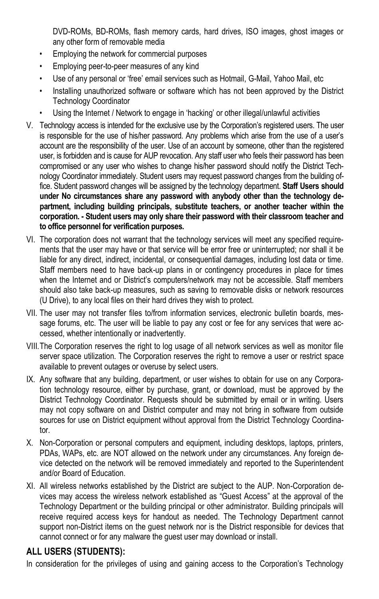DVD-ROMs, BD-ROMs, flash memory cards, hard drives, ISO images, ghost images or any other form of removable media

- Employing the network for commercial purposes
- Employing peer-to-peer measures of any kind
- Use of any personal or 'free' email services such as Hotmail, G-Mail, Yahoo Mail, etc
- Installing unauthorized software or software which has not been approved by the District Technology Coordinator
- Using the Internet / Network to engage in 'hacking' or other illegal/unlawful activities
- V. Technology access is intended for the exclusive use by the Corporation's registered users. The user is responsible for the use of his/her password. Any problems which arise from the use of a user's account are the responsibility of the user. Use of an account by someone, other than the registered user, is forbidden and is cause for AUP revocation. Any staff user who feels their password has been compromised or any user who wishes to change his/her password should notify the District Technology Coordinator immediately. Student users may request password changes from the building office. Student password changes will be assigned by the technology department. **Staff Users should under No circumstances share any password with anybody other than the technology department, including building principals, substitute teachers, or another teacher within the corporation. - Student users may only share their password with their classroom teacher and to office personnel for verification purposes.**
- VI. The corporation does not warrant that the technology services will meet any specified requirements that the user may have or that service will be error free or uninterrupted; nor shall it be liable for any direct, indirect, incidental, or consequential damages, including lost data or time. Staff members need to have back-up plans in or contingency procedures in place for times when the Internet and or District's computers/network may not be accessible. Staff members should also take back-up measures, such as saving to removable disks or network resources (U Drive), to any local files on their hard drives they wish to protect.
- VII. The user may not transfer files to/from information services, electronic bulletin boards, message forums, etc. The user will be liable to pay any cost or fee for any services that were accessed, whether intentionally or inadvertently.
- VIII.The Corporation reserves the right to log usage of all network services as well as monitor file server space utilization. The Corporation reserves the right to remove a user or restrict space available to prevent outages or overuse by select users.
- IX. Any software that any building, department, or user wishes to obtain for use on any Corporation technology resource, either by purchase, grant, or download, must be approved by the District Technology Coordinator. Requests should be submitted by email or in writing. Users may not copy software on and District computer and may not bring in software from outside sources for use on District equipment without approval from the District Technology Coordinator.
- X. Non-Corporation or personal computers and equipment, including desktops, laptops, printers, PDAs, WAPs, etc. are NOT allowed on the network under any circumstances. Any foreign device detected on the network will be removed immediately and reported to the Superintendent and/or Board of Education.
- XI. All wireless networks established by the District are subject to the AUP. Non-Corporation devices may access the wireless network established as "Guest Access" at the approval of the Technology Department or the building principal or other administrator. Building principals will receive required access keys for handout as needed. The Technology Department cannot support non-District items on the guest network nor is the District responsible for devices that cannot connect or for any malware the guest user may download or install.

## **ALL USERS (STUDENTS):**

In consideration for the privileges of using and gaining access to the Corporation's Technology